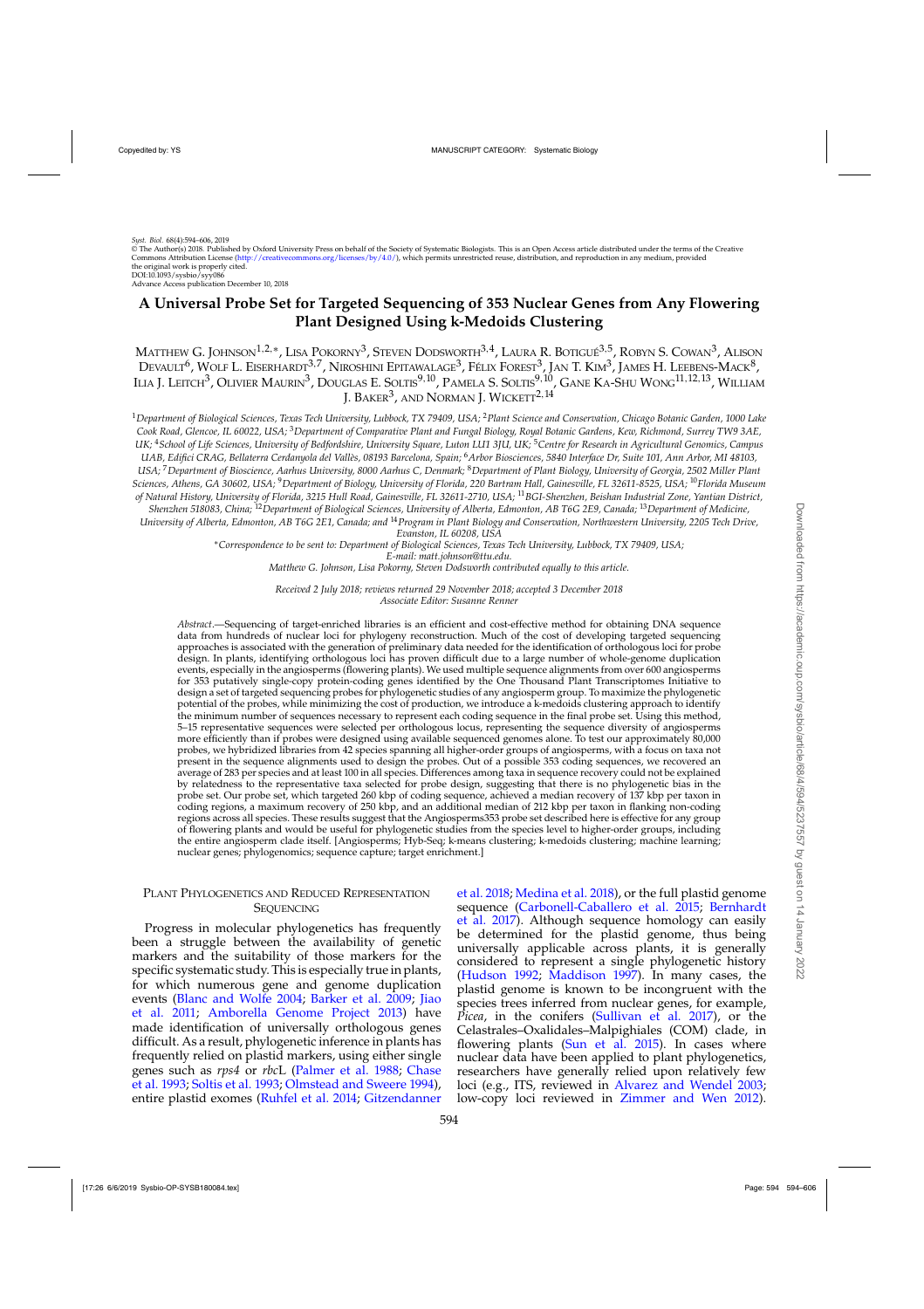$\widetilde{\otimes}$  The Author(s) 2018. Published by Oxford University Press on behalf of the Society of Systematic Biologists. This is an Open Access article distributed under the terms of the Creative Commons Attribution License [\(http://creativecommons.org/licenses/by/4.0/\)](http://creativecommons.org/licenses/by/4.0/), which permits unrestricted reuse, distribution, and reproduction in any medium, provided the original work is properly cited. DOI:10.1093/sysbio/syy086

Advance Access publication December 10, 2018

# **A Universal Probe Set for Targeted Sequencing of 353 Nuclear Genes from Any Flowering Plant Designed Using k-Medoids Clustering**

MATTHEW G. JOHNSON<sup>1,2,\*</sup>, LISA POKORNY<sup>3</sup>, STEVEN DODSWORTH<sup>3,4</sup>, LAURA R. BOTIGUÉ<sup>3,5</sup>, ROBYN S. COWAN<sup>3</sup>, ALISON Devault<sup>6</sup>, Wolf L. Eiserhardt<sup>3,7</sup>, Niroshini Epitawalage<sup>3</sup>, Félix Forest<sup>3</sup>, Jan T. Kim<sup>3</sup>, James H. Leebens-Mack<sup>8</sup>, Ilia J. Leitch<sup>3</sup>, Olivier Maurin<sup>3</sup>, Douglas E. Soltis<sup>9,10</sup>, Pamela S. Soltis<sup>9,10</sup>, Gane Ka-Shu Wong<sup>11,12,13</sup>, William J. BAKER<sup>3</sup>, AND NORMAN J. WICKETT<sup>2,14</sup>

<sup>1</sup>*Department of Biological Sciences, Texas Tech University, Lubbock, TX 79409, USA;* <sup>2</sup>*Plant Science and Conservation, Chicago Botanic Garden, 1000 Lake Cook Road, Glencoe, IL 60022, USA;* <sup>3</sup>*Department of Comparative Plant and Fungal Biology, Royal Botanic Gardens, Kew, Richmond, Surrey TW9 3AE, UK;* <sup>4</sup>*School of Life Sciences, University of Bedfordshire, University Square, Luton LU1 3JU, UK;* <sup>5</sup>*Centre for Research in Agricultural Genomics, Campus UAB, Edifici CRAG, Bellaterra Cerdanyola del Vallès, 08193 Barcelona, Spain;* <sup>6</sup>*Arbor Biosciences, 5840 Interface Dr, Suite 101, Ann Arbor, MI 48103, USA;* <sup>7</sup>*Department of Bioscience, Aarhus University, 8000 Aarhus C, Denmark;* <sup>8</sup>*Department of Plant Biology, University of Georgia, 2502 Miller Plant Sciences, Athens, GA 30602, USA;* <sup>9</sup>*Department of Biology, University of Florida, 220 Bartram Hall, Gainesville, FL 32611-8525, USA;* <sup>10</sup>*Florida Museum of Natural History, University of Florida, 3215 Hull Road, Gainesville, FL 32611-2710, USA;* <sup>11</sup>*BGI-Shenzhen, Beishan Industrial Zone, Yantian District,*

*Shenzhen 518083, China;* <sup>12</sup>*Department of Biological Sciences, University of Alberta, Edmonton, AB T6G 2E9, Canada;* <sup>13</sup>*Department of Medicine, University of Alberta, Edmonton, AB T6G 2E1, Canada; and* <sup>14</sup>*Program in Plant Biology and Conservation, Northwestern University, 2205 Tech Drive,*

*Evanston, IL 60208, USA*

∗*Correspondence to be sent to: Department of Biological Sciences, Texas Tech University, Lubbock, TX 79409, USA;*

*E-mail: matt.johnson@ttu.edu.*

*Matthew G. Johnson, Lisa Pokorny, Steven Dodsworth contributed equally to this article.*

*Received 2 July 2018; reviews returned 29 November 2018; accepted 3 December 2018 Associate Editor: Susanne Renner*

*Abstract*.—Sequencing of target-enriched libraries is an efficient and cost-effective method for obtaining DNA sequence data from hundreds of nuclear loci for phylogeny reconstruction. Much of the cost of developing targeted sequencing approaches is associated with the generation of preliminary data needed for the identification of orthologous loci for probe design. In plants, identifying orthologous loci has proven difficult due to a large number of whole-genome duplication events, especially in the angiosperms (flowering plants). We used multiple sequence alignments from over 600 angiosperms for 353 putatively single-copy protein-coding genes identified by the One Thousand Plant Transcriptomes Initiative to design a set of targeted sequencing probes for phylogenetic studies of any angiosperm group. To maximize the phylogenetic potential of the probes, while minimizing the cost of production, we introduce a k-medoids clustering approach to identify the minimum number of sequences necessary to represent each coding sequence in the final probe set. Using this method, 5–15 representative sequences were selected per orthologous locus, representing the sequence diversity of angiosperms more efficiently than if probes were designed using available sequenced genomes alone. To test our approximately 80,000 probes, we hybridized libraries from 42 species spanning all higher-order groups of angiosperms, with a focus on taxa not present in the sequence alignments used to design the probes. Out of a possible 353 coding sequences, we recovered an average of 283 per species and at least 100 in all species. Differences among taxa in sequence recovery could not be explained by relatedness to the representative taxa selected for probe design, suggesting that there is no phylogenetic bias in the probe set. Our probe set, which targeted 260 kbp of coding sequence, achieved a median recovery of 137 kbp per taxon in coding regions, a maximum recovery of 250 kbp, and an additional median of 212 kbp per taxon in flanking non-coding regions across all species. These results suggest that the Angiosperms353 probe set described here is effective for any group of flowering plants and would be useful for phylogenetic studies from the species level to higher-order groups, including the entire angiosperm clade itself. [Angiosperms; Hyb-Seq; k-means clustering; k-medoids clustering; machine learning; nuclear genes; phylogenomics; sequence capture; target enrichment.]

# PLANT PHYLOGENETICS AND REDUCED REPRESENTATION **SEQUENCING**

Progress in molecular phylogenetics has frequently been a struggle between the availability of genetic markers and the suitability of those markers for the specific systematic study. This is especially true in plants, for which numerous gene and genome duplication event[s \(](#page-11-0)[Blanc and Wolfe 2004](#page-10-0)[;](#page-11-0) [Barker et al. 2009;](#page-10-0) Jiao et al. [2011](#page-11-0); [Amborella Genome Project 2013\)](#page-10-0) have made identification of universally orthologous genes difficult. As a result, phylogenetic inference in plants has frequently relied on plastid markers, usin[g either single](#page-11-0) genes such as *rps4* or *rbc*[L](#page-10-0) [\(Palmer et al. 1988](#page-11-0)[;](#page-10-0) Chase et al. [1993;](#page-10-0) [Soltis et al. 1993;](#page-11-0) [Olmstead and Sweere 1994](#page-11-0)), entire plastid exomes [\(Ruhfel et al. 2014;](#page-11-0) Gitzendanner

et al. [2018](#page-11-0); [Medina et al. 2018\)](#page-11-0), or the full plastid genome sequ[ence \(Carbonell-Caballero et al. 2015;](#page-10-0) Bernhardt et al. [2017](#page-10-0)). Although sequence homology can easily be determined for the plastid genome, thus being universally applicable across plants, it is generally considered to represent a single phylogenetic history [\(Hudson 1992;](#page-11-0) [Maddison 1997\)](#page-11-0). In many cases, the plastid genome is known to be incongruent with the species trees inferred from nuclear genes, for example, *Picea*, in the conifers [\(Sullivan et al. 2017\)](#page-11-0), or the Celastrales–Oxalidales–Malpighiales (COM) clade, in flowering plants [\(Sun et al. 2015](#page-11-0)). In cases where nuclear data have been applied to plant phylogenetics, researchers have generally relied upon relatively few loci (e.g., ITS, reviewed in [Alvarez and Wendel 2003](#page-10-0); low-copy loci reviewed in [Zimmer and Wen 2012\)](#page-12-0).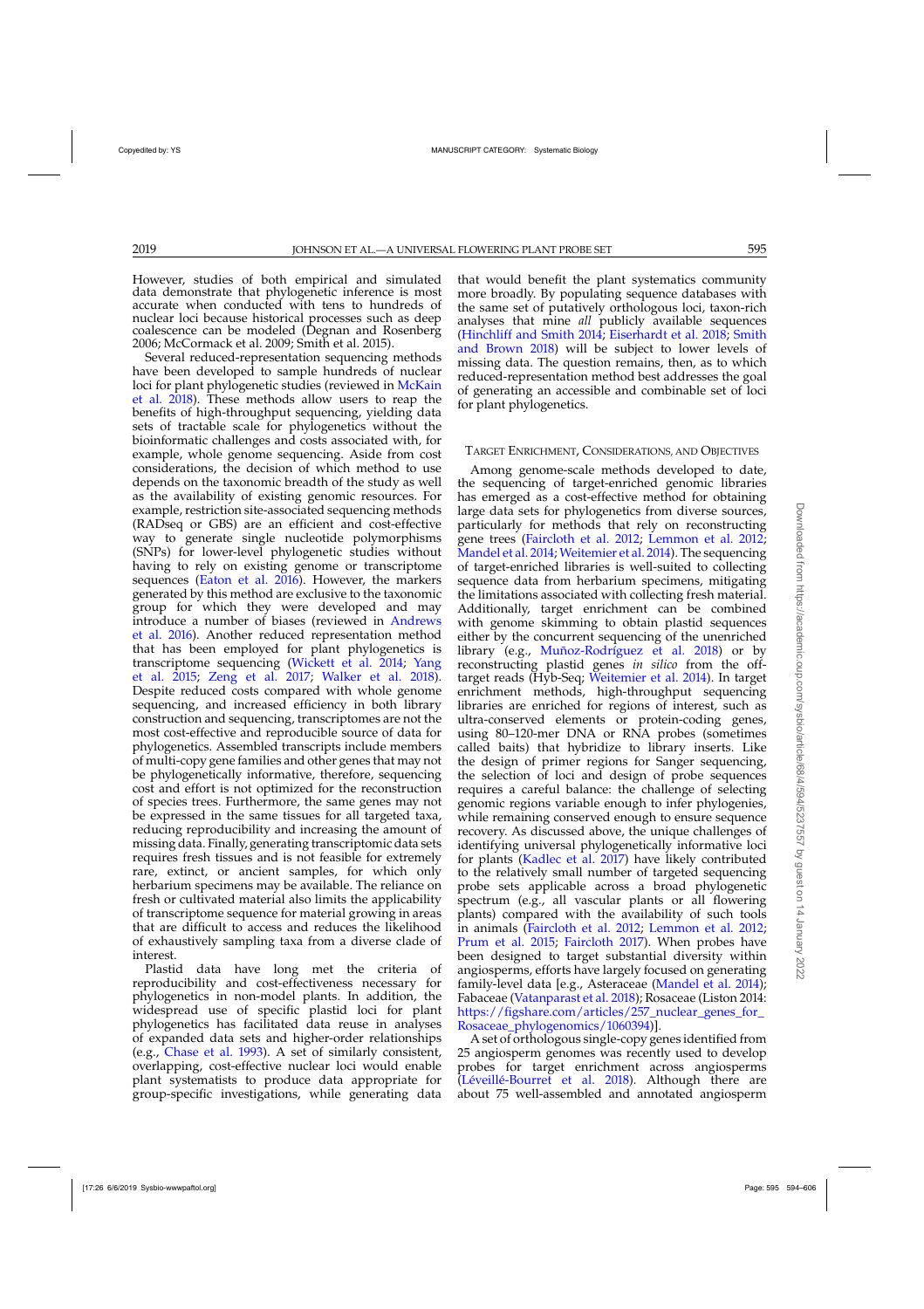However, studies of both empirical and simulated data demonstrate that phylogenetic inference is most accurate when conducted with tens to hundreds of nuclear loci because historical processes such as deep coalescence can be modeled (Degnan and Rosenberg 2006; McCormack et al. 2009; Smith et al. 2015).

Several reduced-representation sequencing methods have been developed to sample hundreds of nuclear loci f[or plant phylogenetic studies \(reviewed in](#page-11-0) McKain et al. [2018](#page-11-0)). These methods allow users to reap the benefits of high-throughput sequencing, yielding data sets of tractable scale for phylogenetics without the bioinformatic challenges and costs associated with, for example, whole genome sequencing. Aside from cost considerations, the decision of which method to use depends on the taxonomic breadth of the study as well as the availability of existing genomic resources. For example, restriction site-associated sequencing methods (RADseq or GBS) are an efficient and cost-effective way to generate single nucleotide polymorphisms (SNPs) for lower-level phylogenetic studies without having to rely on existing genome or transcriptome sequences [\(Eaton et al. 2016\)](#page-11-0). However, the markers generated by this method are exclusive to the taxonomic group for which they were developed and may intro[duce a number of biases \(reviewed in](#page-10-0) Andrews et al. [2016\)](#page-10-0). Another reduced representation method that has been employed for plant phylogenetics is trans[criptome](#page-12-0) [sequencing](#page-12-0) [\(Wickett et al. 2014;](#page-12-0) Yang et al. [2015;](#page-12-0) [Zeng et al. 2017;](#page-12-0) [Walker et al. 2018\)](#page-12-0). Despite reduced costs compared with whole genome sequencing, and increased efficiency in both library construction and sequencing, transcriptomes are not the most cost-effective and reproducible source of data for phylogenetics. Assembled transcripts include members of multi-copy gene families and other genes that may not be phylogenetically informative, therefore, sequencing cost and effort is not optimized for the reconstruction of species trees. Furthermore, the same genes may not be expressed in the same tissues for all targeted taxa, reducing reproducibility and increasing the amount of missing data. Finally, generating transcriptomic data sets requires fresh tissues and is not feasible for extremely rare, extinct, or ancient samples, for which only herbarium specimens may be available. The reliance on fresh or cultivated material also limits the applicability of transcriptome sequence for material growing in areas that are difficult to access and reduces the likelihood of exhaustively sampling taxa from a diverse clade of interest.

Plastid data have long met the criteria of reproducibility and cost-effectiveness necessary for phylogenetics in non-model plants. In addition, the widespread use of specific plastid loci for plant phylogenetics has facilitated data reuse in analyses of expanded data sets and higher-order relationships (e.g., [Chase et al. 1993\)](#page-10-0). A set of similarly consistent, overlapping, cost-effective nuclear loci would enable plant systematists to produce data appropriate for group-specific investigations, while generating data

that would benefit the plant systematics community more broadly. By populating sequence databases with the same set of putatively orthologous loci, taxon-rich analyses that mine *all* publicly available sequences [\(Hinchliff and Smith 2014](#page-11-0); [Eiserhardt et al. 2018;](#page-11-0) Smith and Brown [2018](#page-11-0)) will be subject to lower levels of missing data. The question remains, then, as to which reduced-representation method best addresses the goal of generating an accessible and combinable set of loci for plant phylogenetics.

### TARGET ENRICHMENT, CONSIDERATIONS, AND OBJECTIVES

Among genome-scale methods developed to date, the sequencing of target-enriched genomic libraries has emerged as a cost-effective method for obtaining large data sets for phylogenetics from diverse sources, particularly for methods that rely on reconstructing gene trees [\(Faircloth et al. 2012;](#page-11-0) [Lemmon et al. 2012](#page-11-0); [Mandel et al. 2014](#page-11-0); [Weitemier et al. 2014](#page-12-0)). The sequencing of target-enriched libraries is well-suited to collecting sequence data from herbarium specimens, mitigating the limitations associated with collecting fresh material. Additionally, target enrichment can be combined with genome skimming to obtain plastid sequences either by the concurrent sequencing of the unenriched library (e.g., [Muñoz-Rodríguez et al. 2018\)](#page-11-0) or by reconstructing plastid genes *in silico* from the offtarget reads (Hyb-Seq; [Weitemier et al. 2014\)](#page-12-0). In target enrichment methods, high-throughput sequencing libraries are enriched for regions of interest, such as ultra-conserved elements or protein-coding genes, using 80–120-mer DNA or RNA probes (sometimes called baits) that hybridize to library inserts. Like the design of primer regions for Sanger sequencing, the selection of loci and design of probe sequences requires a careful balance: the challenge of selecting genomic regions variable enough to infer phylogenies, while remaining conserved enough to ensure sequence recovery. As discussed above, the unique challenges of identifying universal phylogenetically informative loci for plants [\(Kadlec et al. 2017\)](#page-11-0) have likely contributed to the relatively small number of targeted sequencing probe sets applicable across a broad phylogenetic spectrum (e.g., all vascular plants or all flowering plants) compared with the availability of such tools in animals [\(Faircloth et al. 2012](#page-11-0); [Lemmon et al. 2012](#page-11-0); [Prum et al. 2015;](#page-11-0) [Faircloth 2017\)](#page-11-0). When probes have been designed to target substantial diversity within angiosperms, efforts have largely focused on generating family-level data [e.g., Asteraceae [\(Mandel et al. 2014](#page-11-0)); Fabaceae [\(Vatanparast et al. 2018](#page-11-0)); Rosaceae (Liston 2014: [https://figshare.com/articles/257\\_nuclear\\_genes\\_for\\_](https://figshare.com/articles/257{protect LY1	extunderscore }nuclear{protect LY1	extunderscore }genes{protect LY1	extunderscore }for{protect LY1	extunderscore }Rosaceae{protect LY1	extunderscore }phylogenomics/1060394) [Rosaceae\\_phylogenomics/1060394\)](https://figshare.com/articles/257{protect LY1	extunderscore }nuclear{protect LY1	extunderscore }genes{protect LY1	extunderscore }for{protect LY1	extunderscore }Rosaceae{protect LY1	extunderscore }phylogenomics/1060394)].

A set of orthologous single-copy genes identified from 25 angiosperm genomes was recently used to develop probes for target enrichment across angiosperms [\(Léveillé-Bourret et al. 2018](#page-11-0)). Although there are about 75 well-assembled and annotated angiosperm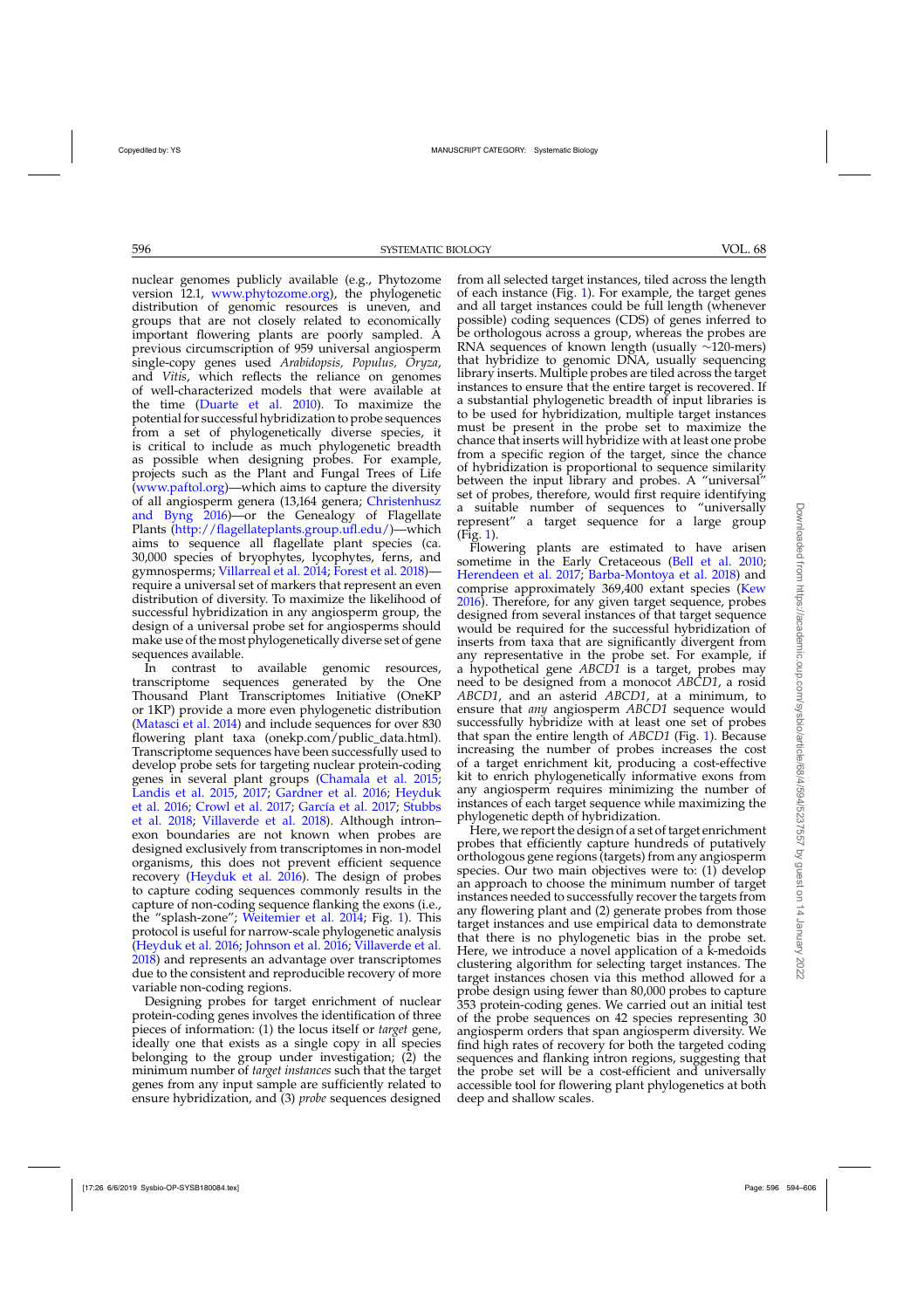nuclear genomes publicly available (e.g., Phytozome version 12.1, [www.phytozome.org\)](www.phytozome.org), the phylogenetic distribution of genomic resources is uneven, and groups that are not closely related to economically important flowering plants are poorly sampled. A previous circumscription of 959 universal angiosperm single-copy genes used *Arabidopsis, Populus, Oryza*, and *Vitis*, which reflects the reliance on genomes of well-characterized models that were available at the time [\(Duarte et al. 2010](#page-10-0)). To maximize the potential for successful hybridization to probe sequences from a set of phylogenetically diverse species, it is critical to include as much phylogenetic breadth as possible when designing probes. For example, projects such as the Plant and Fungal Trees of Life [\(www.paftol.org\)](www.paftol.org)—which aims to capture the diversity of all angi[osperm genera \(13,164 genera;](#page-10-0) Christenhusz and Byng [2016\)](#page-10-0)—or the Genealogy of Flagellate Plants [\(http://flagellateplants.group.ufl.edu/\)](http://flagellateplants.group.ufl.edu/)—which aims to sequence all flagellate plant species (ca. 30,000 species of bryophytes, lycophytes, ferns, and gymnosperms; [Villarreal et al. 2014](#page-12-0); [Forest et al. 2018\)](#page-11-0) require a universal set of markers that represent an even distribution of diversity. To maximize the likelihood of successful hybridization in any angiosperm group, the design of a universal probe set for angiosperms should make use of the most phylogenetically diverse set of gene sequences available.

In contrast to available genomic resources, transcriptome sequences generated by the One Thousand Plant Transcriptomes Initiative (OneKP or 1KP) provide a more even phylogenetic distribution [\(Matasci et al. 2014](#page-11-0)) and include sequences for over 830 flowering plant taxa (onekp.com/public\_data.html). Transcriptome sequences have been successfully used to develop probe sets for targeting nuclear protein-coding genes in several plant groups [\(Chamala et al. 2015;](#page-10-0) [Landis et al. 2015](#page-11-0), [2017](#page-11-0); [Gardner et al. 2016;](#page-11-0) Heyduk et al. [2016;](#page-11-0) [Crowl et al. 2017;](#page-10-0) [García et al. 2017;](#page-11-0) Stubbs et al. [2018](#page-11-0); [Villaverde et al. 2018](#page-12-0)). Although intron– exon boundaries are not known when probes are designed exclusively from transcriptomes in non-model organisms, this does not prevent efficient sequence recovery [\(Heyduk et al. 2016](#page-11-0)). The design of probes to capture coding sequences commonly results in the capture of non-coding sequence flanking the exons (i.e., the "splash-zone"; [Weitemier et al. 2014;](#page-12-0) Fig. [1\)](#page-3-0). This protocol is useful for narrow-scale phylogenetic analysis [\(Heyduk et al. 2016;](#page-11-0) [Johnson et al. 2016;](#page-11-0) [Villaverde et al.](#page-12-0) [2018](#page-12-0)) and represents an advantage over transcriptomes due to the consistent and reproducible recovery of more variable non-coding regions.

Designing probes for target enrichment of nuclear protein-coding genes involves the identification of three pieces of information: (1) the locus itself or *target* gene, ideally one that exists as a single copy in all species belonging to the group under investigation;  $(2)$  the minimum number of *target instances* such that the target genes from any input sample are sufficiently related to ensure hybridization, and (3) *probe* sequences designed

from all selected target instances, tiled across the length of each instance (Fig. [1\)](#page-3-0). For example, the target genes and all target instances could be full length (whenever possible) coding sequences (CDS) of genes inferred to be orthologous across a group, whereas the probes are RNA sequences of known length (usually ∼120-mers) that hybridize to genomic DNA, usually sequencing library inserts. Multiple probes are tiled across the target instances to ensure that the entire target is recovered. If a substantial phylogenetic breadth of input libraries is to be used for hybridization, multiple target instances must be present in the probe set to maximize the chance that inserts will hybridize with at least one probe from a specific region of the target, since the chance of hybridization is proportional to sequence similarity between the input library and probes. A "universal" set of probes, therefore, would first require identifying a suitable number of sequences to "universally represent" a target sequence for a large group (Fig. [1\)](#page-3-0).

Flowering plants are estimated to have arisen sometime in the Early Cretaceous [\(Bell et al. 2010](#page-10-0); [Herendeen et al. 2017](#page-11-0); [Barba-Montoya et al. 2018\)](#page-10-0) and comprise approximately 369,400 extant species [\(Kew](#page-11-0) [2016\)](#page-11-0). Therefore, for any given target sequence, probes designed from several instances of that target sequence would be required for the successful hybridization of inserts from taxa that are significantly divergent from any representative in the probe set. For example, if a hypothetical gene *ABCD1* is a target, probes may need to be designed from a monocot *ABCD1*, a rosid *ABCD1*, and an asterid *ABCD1*, at a minimum, to ensure that *any* angiosperm *ABCD1* sequence would successfully hybridize with at least one set of probes that span the entire length of *ABCD1* (Fig. [1\)](#page-3-0). Because increasing the number of probes increases the cost of a target enrichment kit, producing a cost-effective kit to enrich phylogenetically informative exons from any angiosperm requires minimizing the number of instances of each target sequence while maximizing the phylogenetic depth of hybridization.

Here, we report the design of a set of target enrichment probes that efficiently capture hundreds of putatively orthologous gene regions (targets) from any angiosperm species. Our two main objectives were to: (1) develop an approach to choose the minimum number of target instances needed to successfully recover the targets from any flowering plant and (2) generate probes from those target instances and use empirical data to demonstrate that there is no phylogenetic bias in the probe set. Here, we introduce a novel application of a k-medoids clustering algorithm for selecting target instances. The target instances chosen via this method allowed for a probe design using fewer than 80,000 probes to capture 353 protein-coding genes. We carried out an initial test of the probe sequences on 42 species representing 30 angiosperm orders that span angiosperm diversity. We find high rates of recovery for both the targeted coding sequences and flanking intron regions, suggesting that the probe set will be a cost-efficient and universally accessible tool for flowering plant phylogenetics at both deep and shallow scales.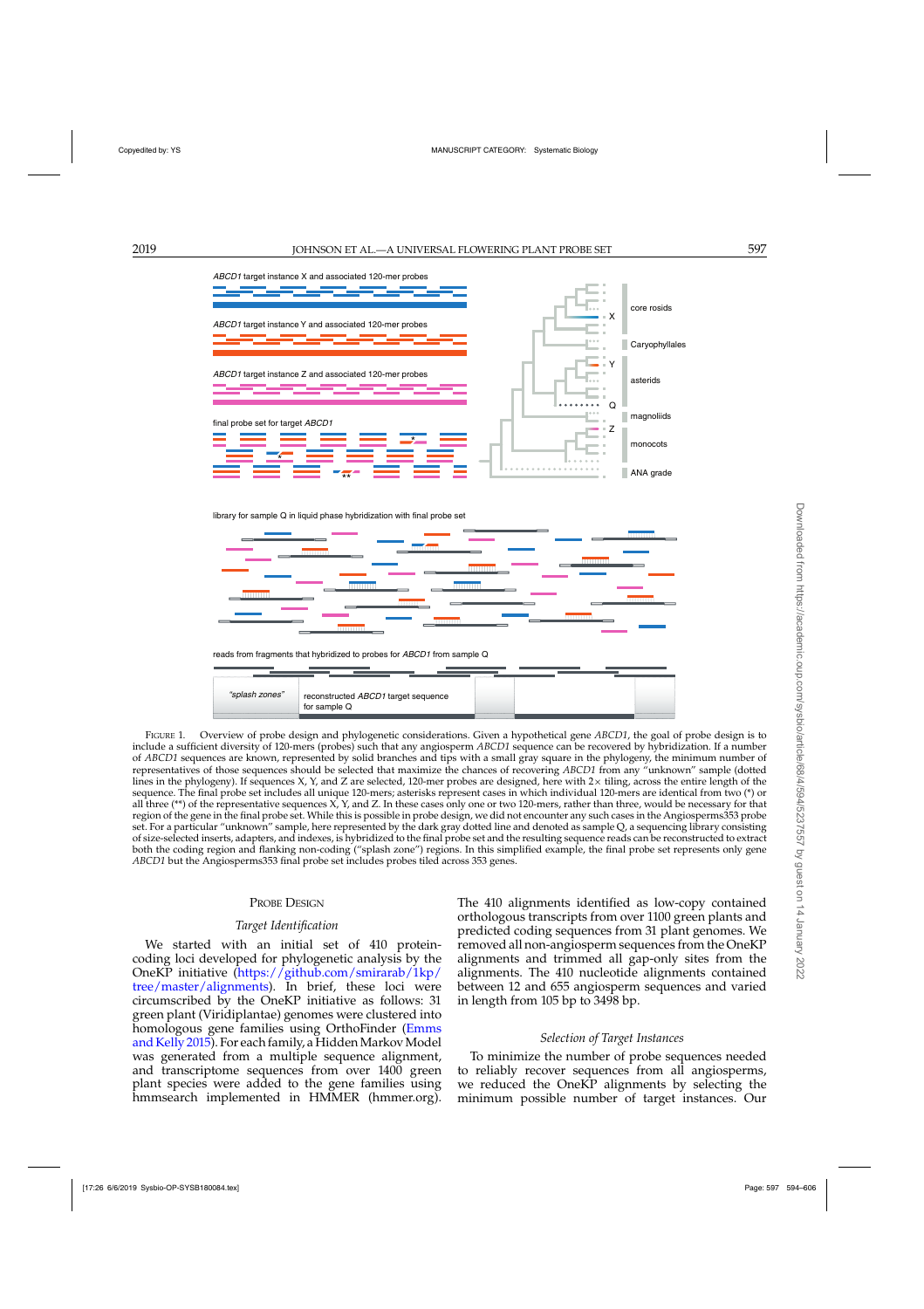<span id="page-3-0"></span>

library for sample Q in liquid phase hybridization with final probe set



FIGURE 1. Overview of probe design and phylogenetic considerations. Given a hypothetical gene *ABCD1*, the goal of probe design is to include a sufficient diversity of 120-mers (probes) such that any angiosperm *ABCD1* sequence can be recovered by hybridization. If a number of *ABCD1* sequences are known, represented by solid branches and tips with a small gray square in the phylogeny, the minimum number of representatives of those sequences should be selected that maximize the chances of recovering *ABCD1* from any "unknown" sample (dotted lines in the phylogeny). If sequences X, Y, and Z are selected, 120-mer probes are designed, here with  $2 \times$  tiling, across the entire length of the sequence. The final probe set includes all unique 120-mers; asterisks represent cases in which individual 120-mers are identical from two (\*) or all three  $(**)$  of the representative sequences X, Y, and Z. In these cases only one or two 120-mers, rather than three, would be necessary for that region of the gene in the final probe set. While this is possible in probe design, we did not encounter any such cases in the Angiosperms353 probe set. For a particular "unknown" sample, here represented by the dark gray dotted line and denoted as sample Q, a sequencing library consisting of size-selected inserts, adapters, and indexes, is hybridized to the final probe set and the resulting sequence reads can be reconstructed to extract both the coding region and flanking non-coding ("splash zone") regions. In this simplified example, the final probe set represents only gene *ABCD1* but the Angiosperms353 final probe set includes probes tiled across 353 genes.

### PROBE DESIGN

### *Target Identification*

We started with an initial set of 410 proteincoding loci developed for phylogenetic analysis by the OneKP initiative [\(https://github.com/smirarab/1kp/](https://github.com/smirarab/1kp/tree/master/alignments) [tree/master/alignments\)](https://github.com/smirarab/1kp/tree/master/alignments). In brief, these loci were circumscribed by the OneKP initiative as follows: 31 green plant (Viridiplantae) genomes were clustered into homolog[ous](#page-11-0) [gene](#page-11-0) [families](#page-11-0) [using](#page-11-0) [OrthoFinder](#page-11-0) [\(](#page-11-0)Emms and Kelly [2015](#page-11-0)). For each family, a Hidden Markov Model was generated from a multiple sequence alignment, and transcriptome sequences from over 1400 green plant species were added to the gene families using hmmsearch implemented in HMMER (hmmer.org).

The 410 alignments identified as low-copy contained orthologous transcripts from over 1100 green plants and predicted coding sequences from 31 plant genomes. We removed all non-angiosperm sequences from the OneKP alignments and trimmed all gap-only sites from the alignments. The 410 nucleotide alignments contained between 12 and 655 angiosperm sequences and varied in length from 105 bp to 3498 bp.

# *Selection of Target Instances*

To minimize the number of probe sequences needed to reliably recover sequences from all angiosperms, we reduced the OneKP alignments by selecting the minimum possible number of target instances. Our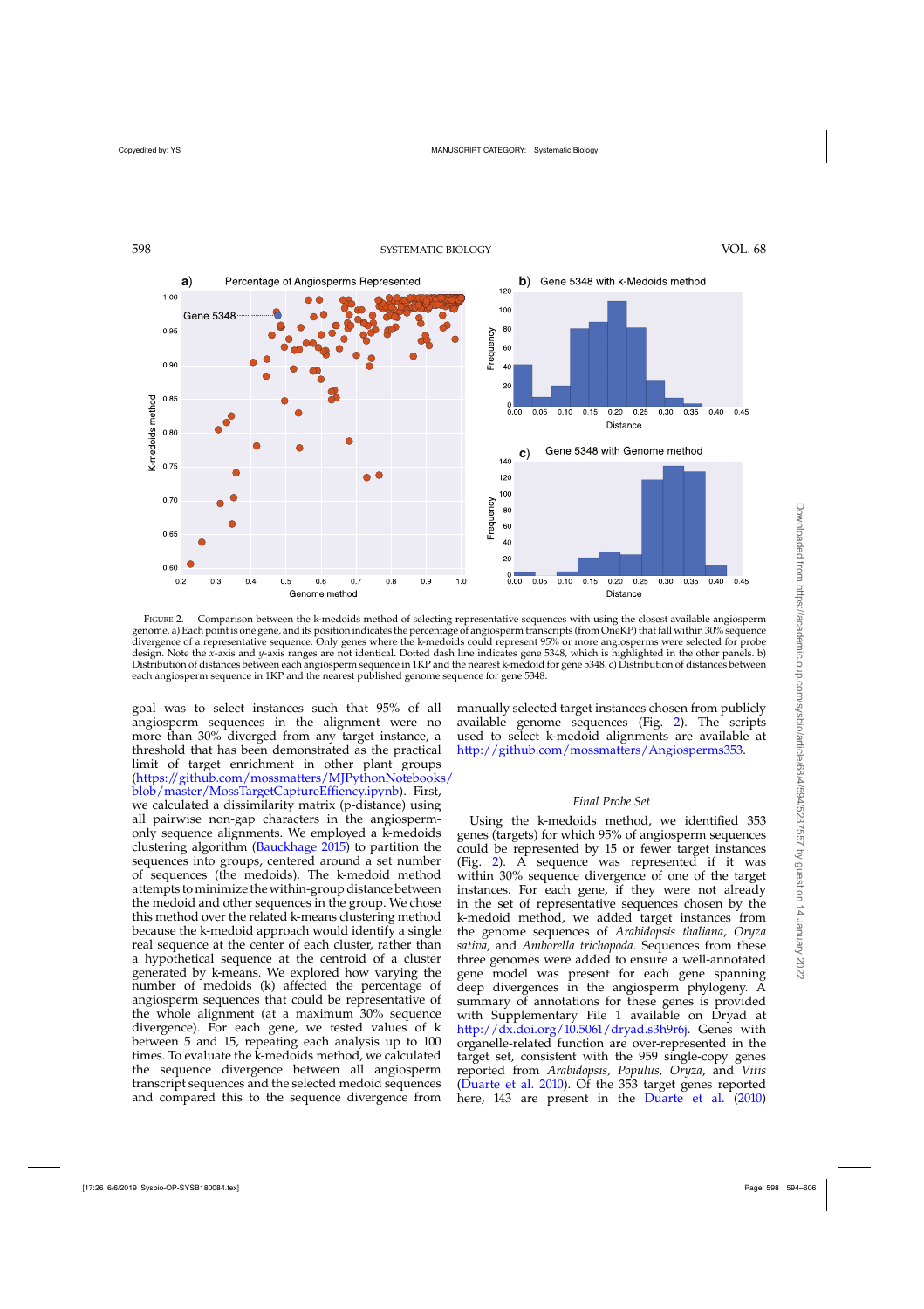<span id="page-4-0"></span>

FIGURE 2. Comparison between the k-medoids method of selecting representative sequences with using the closest available angiosperm genome. a) Each point is one gene, and its position indicates the percentage of angiosperm transcripts (from OneKP) that fall within 30% sequence divergence of a representative sequence. Only genes where the k-medoids could represent 95% or more angiosperms were selected for probe design. Note the *x*-axis and *y*-axis ranges are not identical. Dotted dash line indicates gene 5348, which is highlighted in the other panels. b) Distribution of distances between each angiosperm sequence in 1KP and the nearest k-medoid for gene 5348. c) Distribution of distances between each angiosperm sequence in 1KP and the nearest published genome sequence for gene 5348.

goal was to select instances such that 95% of all angiosperm sequences in the alignment were no more than 30% diverged from any target instance, a threshold that has been demonstrated as the practical limit of target enrichment in other plant groups [\(https://github.com/mossmatters/MJPythonNotebooks/](https://github.com/mossmatters/MJPythonNotebooks/blob/master/MossTargetCaptureEffiency.ipynb) [blob/master/MossTargetCaptureEffiency.ipynb\)](https://github.com/mossmatters/MJPythonNotebooks/blob/master/MossTargetCaptureEffiency.ipynb). First, we calculated a dissimilarity matrix (p-distance) using all pairwise non-gap characters in the angiospermonly sequence alignments. We employed a k-medoids clustering algorithm [\(Bauckhage 2015](#page-10-0)) to partition the sequences into groups, centered around a set number of sequences (the medoids). The k-medoid method attempts to minimize the within-group distance between the medoid and other sequences in the group. We chose this method over the related k-means clustering method because the k-medoid approach would identify a single real sequence at the center of each cluster, rather than a hypothetical sequence at the centroid of a cluster generated by k-means. We explored how varying the number of medoids (k) affected the percentage of angiosperm sequences that could be representative of the whole alignment (at a maximum 30% sequence divergence). For each gene, we tested values of k between 5 and 15, repeating each analysis up to 100 times. To evaluate the k-medoids method, we calculated the sequence divergence between all angiosperm transcript sequences and the selected medoid sequences and compared this to the sequence divergence from

manually selected target instances chosen from publicly available genome sequences (Fig. 2). The scripts used to select k-medoid alignments are available at [http://github.com/mossmatters/Angiosperms353.](http://github.com/mossmatters/Angiosperms353)

### *Final Probe Set*

Using the k-medoids method, we identified 353 genes (targets) for which 95% of angiosperm sequences could be represented by 15 or fewer target instances (Fig. 2). A sequence was represented if it was within 30% sequence divergence of one of the target instances. For each gene, if they were not already in the set of representative sequences chosen by the k-medoid method, we added target instances from the genome sequences of *Arabidopsis thaliana*, *Oryza sativa*, and *Amborella trichopoda*. Sequences from these three genomes were added to ensure a well-annotated gene model was present for each gene spanning deep divergences in the angiosperm phylogeny. A summary of annotations for these genes is provided with Supplementary File 1 available on Dryad at [http://dx.doi.org/10.5061/dryad.s3h9r6j.](http://dx.doi.org/10.5061/dryad.s3h9r6j) Genes with organelle-related function are over-represented in the target set, consistent with the 959 single-copy genes reported from *Arabidopsis, Populus, Oryza*, and *Vitis* [\(Duarte et al. 2010\)](#page-10-0). Of the 353 target genes reported here, 143 are present in the [Duarte et al.](#page-10-0) [\(2010](#page-10-0))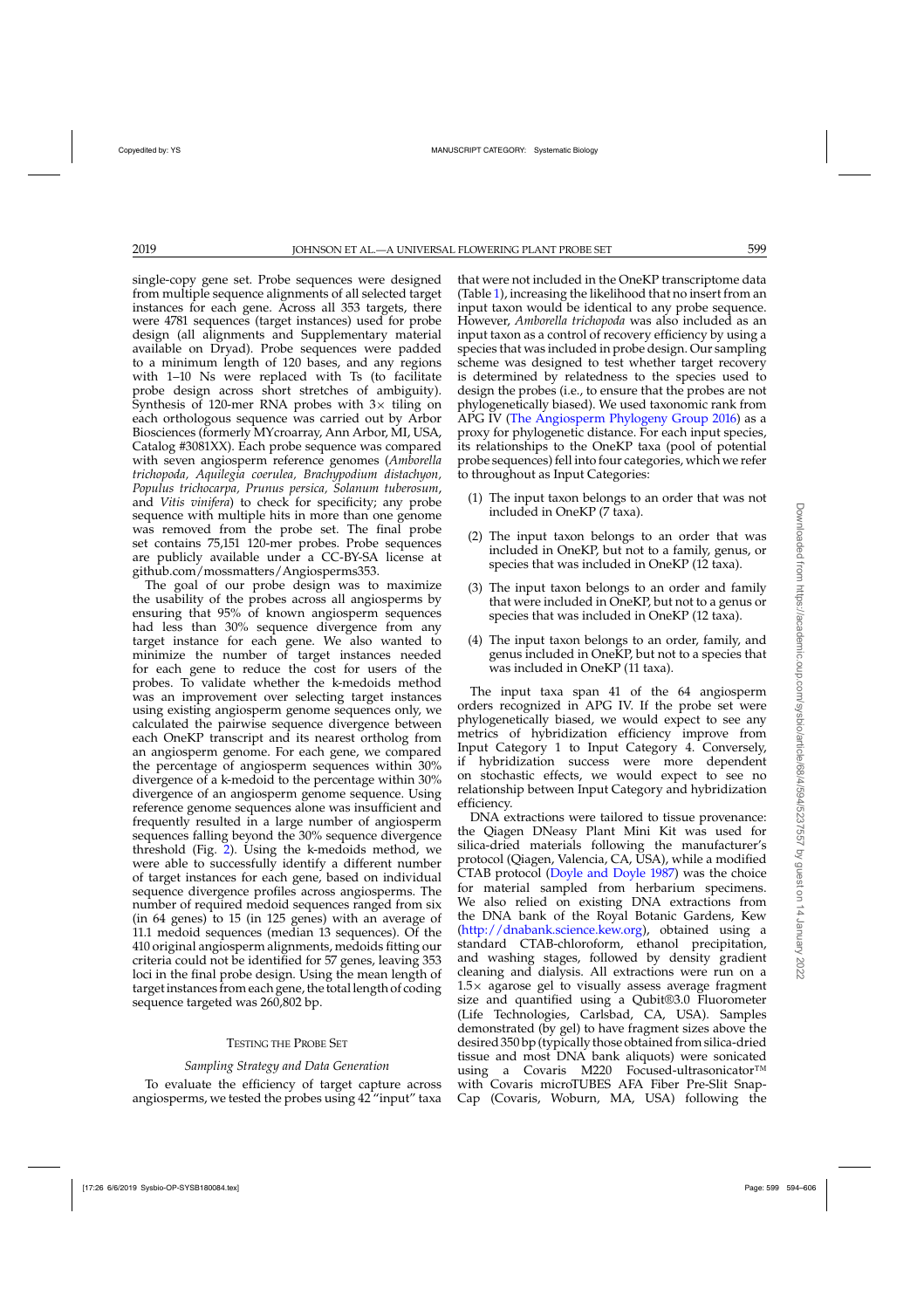single-copy gene set. Probe sequences were designed from multiple sequence alignments of all selected target instances for each gene. Across all 353 targets, there were 4781 sequences (target instances) used for probe design (all alignments and Supplementary material available on Dryad). Probe sequences were padded to a minimum length of 120 bases, and any regions with 1–10 Ns were replaced with Ts (to facilitate probe design across short stretches of ambiguity). Synthesis of 120-mer RNA probes with  $3\times$  tiling on each orthologous sequence was carried out by Arbor Biosciences (formerly MYcroarray, Ann Arbor, MI, USA, Catalog #3081XX). Each probe sequence was compared with seven angiosperm reference genomes (*Amborella trichopoda, Aquilegia coerulea, Brachypodium distachyon, Populus trichocarpa, Prunus persica, Solanum tuberosum*, and *Vitis vinifera*) to check for specificity; any probe sequence with multiple hits in more than one genome was removed from the probe set. The final probe set contains 75,151 120-mer probes. Probe sequences are publicly available under a CC-BY-SA license at github.com/mossmatters/Angiosperms353.

The goal of our probe design was to maximize the usability of the probes across all angiosperms by ensuring that 95% of known angiosperm sequences had less than 30% sequence divergence from any target instance for each gene. We also wanted to minimize the number of target instances needed for each gene to reduce the cost for users of the probes. To validate whether the k-medoids method was an improvement over selecting target instances using existing angiosperm genome sequences only, we calculated the pairwise sequence divergence between each OneKP transcript and its nearest ortholog from an angiosperm genome. For each gene, we compared the percentage of angiosperm sequences within 30% divergence of a k-medoid to the percentage within 30% divergence of an angiosperm genome sequence. Using reference genome sequences alone was insufficient and frequently resulted in a large number of angiosperm sequences falling beyond the 30% sequence divergence threshold (Fig. [2\)](#page-4-0). Using the k-medoids method, we were able to successfully identify a different number of target instances for each gene, based on individual sequence divergence profiles across angiosperms. The number of required medoid sequences ranged from six (in 64 genes) to 15 (in 125 genes) with an average of 11.1 medoid sequences (median 13 sequences). Of the 410 original angiosperm alignments, medoids fitting our criteria could not be identified for 57 genes, leaving 353 loci in the final probe design. Using the mean length of target instances from each gene, the total length of coding sequence targeted was 260,802 bp.

# TESTING THE PROBE SET

# *Sampling Strategy and Data Generation*

To evaluate the efficiency of target capture across angiosperms, we tested the probes using 42 "input" taxa that were not included in the OneKP transcriptome data (Table [1\)](#page-6-0), increasing the likelihood that no insert from an input taxon would be identical to any probe sequence. However, *Amborella trichopoda* was also included as an input taxon as a control of recovery efficiency by using a species that was included in probe design. Our sampling scheme was designed to test whether target recovery is determined by relatedness to the species used to design the probes (i.e., to ensure that the probes are not phylogenetically biased). We used taxonomic rank from APG IV [\(The Angiosperm Phylogeny Group 2016](#page-11-0)) as a proxy for phylogenetic distance. For each input species, its relationships to the OneKP taxa (pool of potential probe sequences) fell into four categories, which we refer to throughout as Input Categories:

- (1) The input taxon belongs to an order that was not included in OneKP (7 taxa).
- (2) The input taxon belongs to an order that was included in OneKP, but not to a family, genus, or species that was included in OneKP (12 taxa).
- (3) The input taxon belongs to an order and family that were included in OneKP, but not to a genus or species that was included in OneKP (12 taxa).
- (4) The input taxon belongs to an order, family, and genus included in OneKP, but not to a species that was included in OneKP (11 taxa).

The input taxa span 41 of the 64 angiosperm orders recognized in APG IV. If the probe set were phylogenetically biased, we would expect to see any metrics of hybridization efficiency improve from Input Category 1 to Input Category 4. Conversely, if hybridization success were more dependent on stochastic effects, we would expect to see no relationship between Input Category and hybridization efficiency.

DNA extractions were tailored to tissue provenance: the Qiagen DNeasy Plant Mini Kit was used for silica-dried materials following the manufacturer's protocol (Qiagen, Valencia, CA, USA), while a modified CTAB protocol [\(Doyle and Doyle 1987](#page-10-0)) was the choice for material sampled from herbarium specimens. We also relied on existing DNA extractions from the DNA bank of the Royal Botanic Gardens, Kew [\(http://dnabank.science.kew.org\)](http://dnabank.science.kew.org), obtained using a standard CTAB-chloroform, ethanol precipitation, and washing stages, followed by density gradient cleaning and dialysis. All extractions were run on a  $1.5\times$  agarose gel to visually assess average fragment size and quantified using a Qubit®3.0 Fluorometer (Life Technologies, Carlsbad, CA, USA). Samples demonstrated (by gel) to have fragment sizes above the desired 350 bp (typically those obtained from silica-dried tissue and most DNA bank aliquots) were sonicated using a Covaris M220 Focused-ultrasonicator™ with Covaris microTUBES AFA Fiber Pre-Slit Snap-Cap (Covaris, Woburn, MA, USA) following the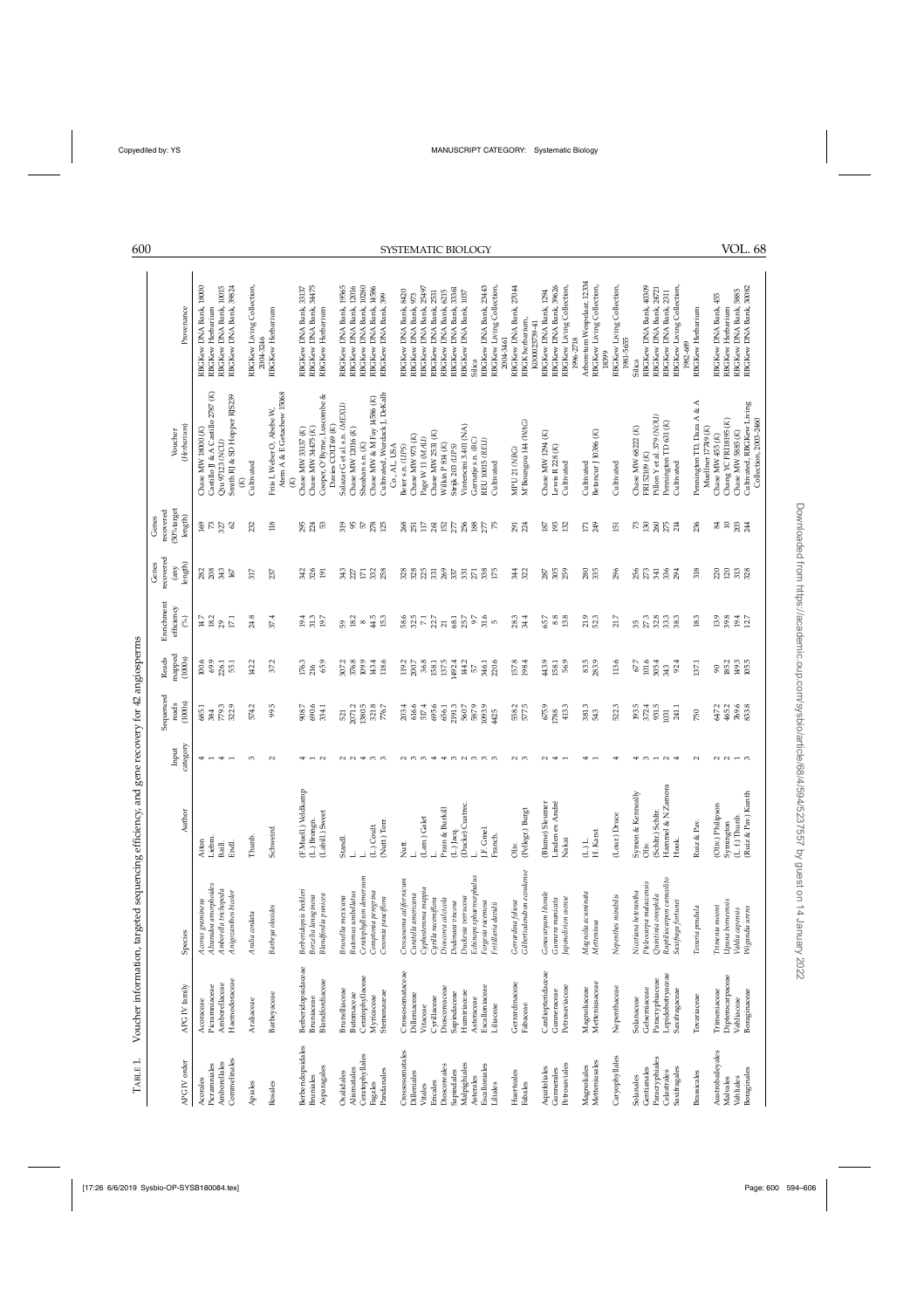| TABLE 1.              |                           | Voucher information, targeted sequencing eff | ficiency, and gene recovery for 42 angiosperms |               |                    |                 |                                                   |                            |                                             |                                                    |                                                |
|-----------------------|---------------------------|----------------------------------------------|------------------------------------------------|---------------|--------------------|-----------------|---------------------------------------------------|----------------------------|---------------------------------------------|----------------------------------------------------|------------------------------------------------|
|                       |                           |                                              |                                                | Input         | Sequenced<br>reads | mapped<br>Reads | Enrichment<br>efficiency                          | recovered<br>Genes<br>(any | $(50\% \mbox{target}$<br>recovered<br>Genes | Voucher                                            |                                                |
| APG IV order          | APG IV family             | Species                                      | Author                                         | category      | (1000s)            | (1000s)         | $($ % $)$                                         | length)                    | length <sup>'</sup>                         | (Herbarium)                                        | Provenance                                     |
| Acorales              | Acoraceae                 | Acorus gramineus                             | Aiton                                          | 4             | 685.1<br>384       | 100.6           |                                                   | <b>282</b><br>208          |                                             | Chase MW $18000(K)$                                | RBGKew DNA Bank, 18000                         |
| Picramniales          | Picrammiaceae             | Alvaradoa amorphoides                        | Liebm.                                         |               |                    | 69.9            | $\begin{array}{l} 14.7 \\ 18.2 \\ 29 \end{array}$ |                            | $rac{69}{72}$                               | Castillo JJ & A Castillo 2787 (K)                  | RBGKew Herbarium                               |
| Amborellales          | Amborellaceae             | Amborella trichopoda                         | Baill.                                         |               | 779.3              | 226.1           |                                                   | 343                        |                                             | Qiu 97123 (NCU)                                    | RBGKew DNA Bank, 10015                         |
| Commelinales          | Haemodoraceae             | Anigozanthos bicolor                         | ਜ਼ਰ<br>ਜ਼                                      |               | 322.9              | 55.1            | 17.1                                              | 167                        | $\mathcal{S}$                               | Smith RJ & SD Hopper RJS239                        | RBGKew DNA Bank, 39824                         |
|                       |                           |                                              |                                                | $\infty$      | 574.2              | 142.2           | 24.8                                              | 317                        | 232                                         |                                                    |                                                |
| Apiales               | Araliaceae                | Aralia cordata                               | Thunb.                                         |               |                    |                 |                                                   |                            |                                             | Cultivated                                         | RBGKew Living Collection,<br>2004-3246         |
| Rosales               | Barbeyaceae               | Barbeya oleoides                             | Schweinf.                                      | $\sim$        | 99.5               | 37.2            | 37.4                                              | 237                        | 118                                         | Friis I, Weber O, Abebe W,                         | RBCKew Herbarium                               |
|                       |                           |                                              |                                                |               |                    |                 |                                                   |                            |                                             | Atem A & E Getachew 15068                          |                                                |
| Berberidopsidales     | Berberidopsidaceae        | Berberidopsis beckleri                       | (F.Muell.) Veldkamp                            |               | 908.7              | 176.3           | 19.4                                              | 342                        |                                             | Chase MW 33137 (K)                                 | RBGKew DNA Bank, 33137                         |
| <b>Bruniales</b>      | Bruniaceae                | Berzelia lanuginosa                          | Brongn.<br>j                                   |               | 690.6              | 216             | $31.3$                                            | 326                        | 295<br>224                                  | Chase MW 34475 (K)                                 | RBGKew DNA Bank, 34475                         |
| Asparagales           | Blandfordiaceae           | Blandfordia punicea                          | (Labill.) Sweet                                |               | 334.1              | 65.9            | 19.7                                              | $\overline{5}$             | S3                                          | Cooper, O'Byrne, Luscombe &                        | RBGKew Herbarium                               |
|                       |                           |                                              |                                                |               |                    |                 |                                                   |                            |                                             | Davies COLT69 (K)                                  |                                                |
| Oxalidales            | Brunelliaceae             | Brunellia mexicana                           | Standl.                                        |               | 521                | 307.2           | 59                                                | 343                        | 319                                         | Salazar G et al. s.n. (MEXU)                       | RBGKew DNA Bank, 19565                         |
| Alismatales           | Butomaceae                | <b>Butomus</b> umbellatus                    | Ľ                                              |               | 2071.2             | 376.8           | 18.2                                              | 227                        | 95                                          | Chase MW $12016(K)$                                | RBGKew DNA Bank, 12016                         |
| Ceratophyllales       | Ceratophyllaceae          | Ceratophyllum demersum                       | (L.) Coult.<br>Ч                               | ₩             | 1380.5             | 109.9<br>143.4  | 44.5<br>$^{\circ}$                                | $\overline{17}$            |                                             | Chase MW & M Fay 14586 (K)<br>Sheahan s.n. (K)     | RBGKew DNA Bank, 10280                         |
| Pandanales<br>Fagales | Stemonaceae<br>Myricaceae | Comptonia peregrina<br>Croomia pauciflora    | (Nutt.) Torr.                                  | ო ო           | 321.8<br>$776.7\,$ | 118.6           | 15.3                                              | 332<br>258                 | $\frac{57}{278}$                            | Cultivated, Wurdack J, DeKalb                      | RBGKew DNA Bank, 14586<br>RBGKew DNA Bank, 399 |
|                       |                           |                                              |                                                |               |                    |                 |                                                   |                            |                                             | Co., AL, USA                                       |                                                |
| Crossosomatales       | Crossosomataceae          | Crossosoma californicum                      | Nutt.                                          |               | 203.4              | 119.2           |                                                   | 328                        |                                             | Beier s.n. (UPS)                                   | RBGKew DNA Bank, 8420                          |
| Dilleniales           | Dilleniaceae              | Curatella americana                          | Ľ                                              | $\sim$ $\sim$ | 616.6              | 200.7           | 58.6<br>32.5                                      | 328                        | <b>268</b><br>251                           | Chase MW 973 $(K)$                                 | RBGKew DNA Bank, 973                           |
| Vitales               | Vitaceae                  | Cyphostenma mappia                           | (Lam.) Galet                                   | S             | 517.4              | 36.8            | $\!\!7.1$                                         | 225                        | $117\,$                                     | Page W 11 (MAU)                                    | RBGKew DNA Bank, 25497                         |
| Ericales              | Cyrillaceae               | Cyrilla racemiflora                          | Ľ                                              | ₩             | 695.6              | 158.1           | $22.7$ $\,$                                       | 331                        | 38888                                       | Chase MW 2531 (K)                                  | RBGKew DNA Bank, 2531                          |
| Dioscoreales          | Dioscoreaceae             | Dioscorea calcicola                          | Prain & Burkill                                | ₩             | 656.1<br>2191.3    | 137.5           |                                                   | <b>269</b><br>337          |                                             | Wilkin P 814 (K)                                   | RBGKew DNA Bank, 6215                          |
| Sapindales            | Sapindaceae               | Dodonaea viscosa                             | $(L.)$ Jacq.                                   | $\infty$      |                    | 1492.4          | 68.1                                              |                            |                                             | Strijk 203 (LIPS)                                  | RBGKew DNA Bank, 33361                         |
| Malpighiales          | Humiriaceae               | Duckesia verrucosa                           | (Ducke) Cuatrec                                | $\sim$        | $560.7$            | 144.2           | 25.7                                              | 331                        |                                             | Vintencini 3.401 (NA)                              | RBGKew DNA Bank, 1037                          |
| Asterales             | Asteraceae                | Echinops sphaerocephalus                     | نہ                                             | ო ო ო         | 587.9              | $\mathbb S$     | 9.7                                               | 271                        | $\frac{88}{27}$ $\frac{12}{5}$              | Garnatje s.n. (BC)                                 | Silica                                         |
| Escalloniales         | Escalloniaceae            | Forgesia racemosa                            | I.F. Gmel.                                     |               | 1093.9             | 346.1           | 31.6                                              | 338                        |                                             | REU 10015 (REU)                                    | RBGKew DNA Bank, 23443                         |
| Liliales              | Liliaceae                 | Fritillaria davidii                          | Franch.                                        |               | 4425               | 220.6           | S                                                 | 175                        |                                             | Cultivated                                         | RBGKew Living Collection,                      |
|                       |                           |                                              |                                                |               |                    |                 |                                                   |                            |                                             |                                                    | 2004-3461                                      |
| Huerteales            | Gerrardinaceae            | Gerrardina foliosa                           | Oliv.                                          | $\sim$ $\sim$ | 577.5<br>558.2     | $157.8\,$       | 28.3                                              | 344<br>322                 | 291<br>224                                  | MPU 21 (NBG)                                       | RBGKew DNA Bank, 27044                         |
| Fabales               | Fabaceae                  | Gilbertiodendron ecoukense                   | (Pellegr.) Burgt                               |               |                    | 198.4           | 34.4                                              |                            |                                             | M'Boungou 144 (WAG)                                | RBGK herbarium,<br>K000023739-41               |
| Aquifoliales          | Cardiopteridaceae         | Gonocaryum litorale                          | (Blume) Sleumer                                |               | 675.9              | 443.9           | 65.7                                              |                            |                                             | Chase MW 1294 (K)                                  | RBGKew DNA Bank, 1294                          |
| Gunnerales            | Gunneraceae               | Gunnera manicata                             | Linden ex André                                |               | 1788               | 158.1           | $8.8\,$                                           | 287<br>305                 |                                             | Lewis $R$ 228 $(K)$                                | RBGKew DNA Bank, 39626                         |
| Petrosaviales         | Petrosaviaceae            | Japonolirion osense                          | Nakai                                          |               | 413.3              | 56.9            | 13.8                                              | 259                        | <b>is</b> 23                                | Cultivated                                         | RBGKew Living Collection,                      |
|                       |                           |                                              |                                                |               |                    |                 |                                                   |                            |                                             |                                                    | 1996-2718                                      |
| Magnoliales           | Magnoliaceae              | Magnolia acuminata                           | $(\!\!\!\! \bot)\!\!\!\! \bot$                 |               | 381.3              | 83.5<br>283.9   | $21.9$                                            | 280                        | $\overline{\mathbb{Z}}$                     | Cultivated                                         | Arboretum Wespelaar, 12334                     |
| Metteniusales         | Metteniusaceae            | Metteniusa                                   | H. Karst.                                      |               | 543                |                 | 52.3                                              | 335                        | 249                                         | Betancur J 10386 (K)                               | RBGKew Living Collection,<br>18399             |
| Caryophyllales        | Nepenthaceae              | Nepenthes mirabilis                          | (Lour.) Druce                                  |               | 522.3              | 113.6           | 21.7                                              | 296                        | 51                                          | Cultivated                                         | RBGKew Living Collection,                      |
|                       |                           |                                              |                                                |               |                    |                 |                                                   |                            |                                             |                                                    | 1981-5655                                      |
| Solanales             | Solanaceae                | Nicotiana heterantha                         | Symon & Kenneally                              |               | 193.5              | 67.7            | 35<br>27 .3                                       | 256<br>273                 | $^{73}$                                     | Chase MW 68222 (K)                                 | Silica                                         |
| Gentianales           | Gelsemiaceae              | Pteleocarpa malaccensis                      | Oliv.                                          |               | 372.4              | 101.6           |                                                   |                            |                                             | FRI 52109 (K)                                      | RBGKew DNA Bank, 40309                         |
| Paracryphiales        | Paracryphiaceae           | Quintinia oreophila                          | (Schltr.) Schltr.                              |               | 931.5              | 305.4           | 32.8                                              | $341$                      | <b>SS 33</b>                                | Pillon Y et al. 379 (NOU)                          | RBGKew DNA Bank, 24721                         |
| Celastrales           | Lepidobotryaceae          | Ruptiliocarpon caracolito                    | Hammel & N.Zamora                              |               | 1801               | 343             | 33.3                                              | $336$<br>$294$             |                                             | Pennington TD 631 (K)                              | RBGKew DNA Bank, 2311                          |
| Saxifragales          | Saxifragaceae             | Saxifraga fortunei                           | Hook.                                          |               | 241.1              | 92.4            | 38.3                                              |                            |                                             | Cultivated                                         | RBGKew Living Collection,<br>1982-689          |
| <b>Brassicales</b>    | Tovariaceae               | Tovaria pendula                              | Ruiz & Pav.                                    | $\sim$        | 750                | 137.1           | 18.3                                              | 318                        | 236                                         | Pennington TD, Daza A & A                          | RBGKew Herbarium                               |
|                       |                           |                                              |                                                |               |                    |                 |                                                   |                            |                                             | Muellner 17749 (K)                                 |                                                |
| Austrobaileyales      | Trimeniaceae              | Trimenia moorei                              | (Oliv.) Philipson                              | $\sim$        | 647.2              | $\infty$        | 13.9                                              | 220                        | 34                                          | Chase MW $455(K)$                                  | RBGKew DNA Bank, 455                           |
| Malvales              | Dipterocarpaceae          | Upuna borneensis                             | Symington                                      | $\sim$        | 465.2              | 185.2           | 39.8                                              | $120\,$                    | $\Xi$                                       | Chang YC FRI18195 (K)                              | RBGKew Herbarium                               |
| Vahliales             | Vahliaceae                | Vahlia capensis                              | $(L, f)$ Thunb.                                |               | 769.6              | 149.3           | 19.4                                              | 313                        | $203\,$                                     | Chase MW 5885 (K)                                  | RBGKew DNA Bank, 5885                          |
| Boraginales           | Boraginaceae              | Wigandia urens                               | & Pav.) Kunth<br>Ruiz                          |               | 833.8              | 105.5           | 12.7                                              | 328                        | 244                                         | Cultivated, RBGKew Living<br>Collection, 2003-2460 | RBGKew DNA Bank, 30082                         |
|                       |                           |                                              |                                                |               |                    |                 |                                                   |                            |                                             |                                                    |                                                |

<span id="page-6-0"></span>

Downloaded from https://academic.oup.com/sysbio/article/68/4/594/5237557 by guest on 14 January 2022 Downloaded from https://academic.oup.com/sysbio/article/68/4/594/5237557 by guest on 14 January 2022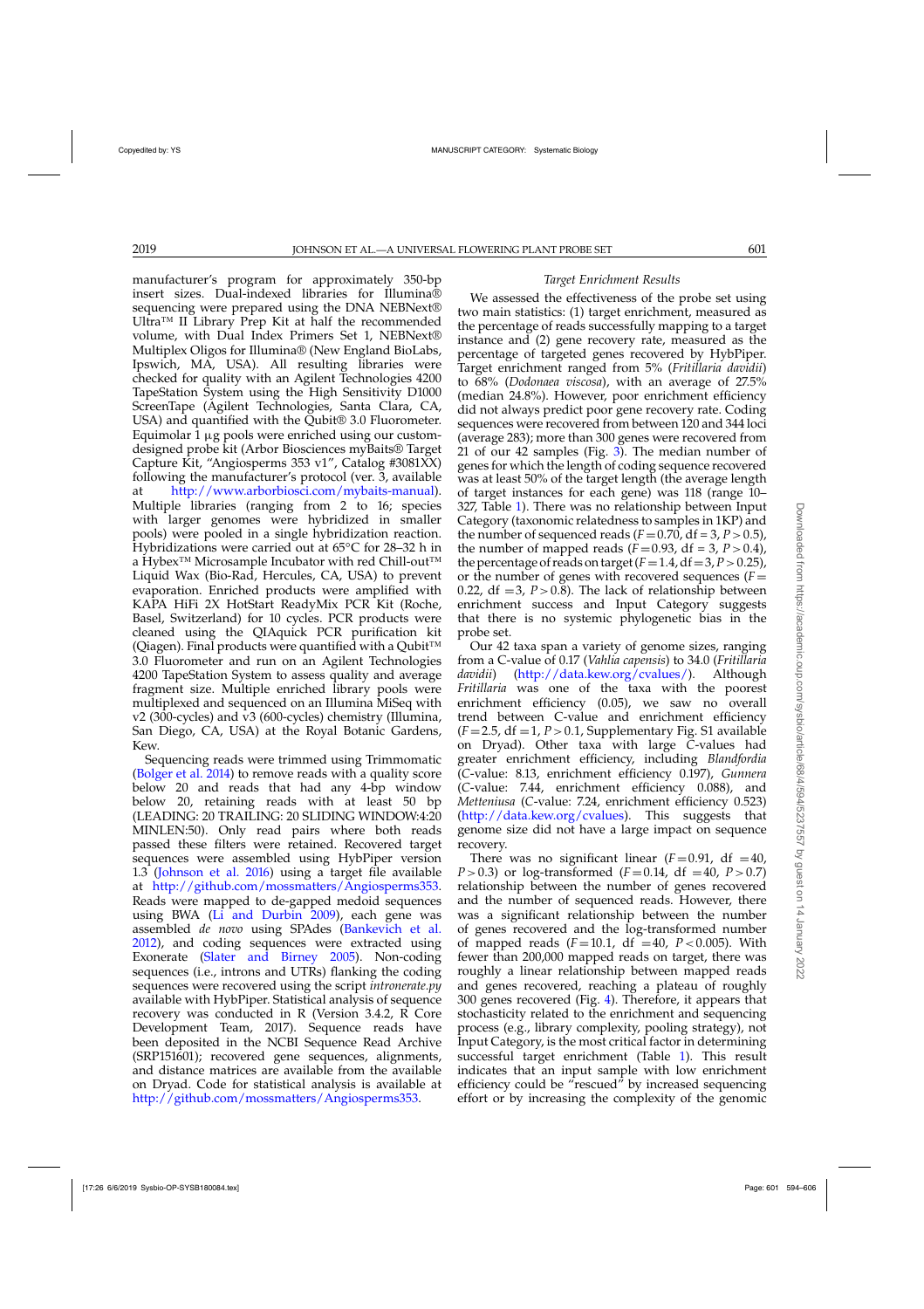manufacturer's program for approximately 350-bp insert sizes. Dual-indexed libraries for Illumina® sequencing were prepared using the DNA NEBNext<sup>®</sup> Ultra™ II Library Prep Kit at half the recommended volume, with Dual Index Primers Set 1, NEBNext® Multiplex Oligos for Illumina® (New England BioLabs, Ipswich, MA, USA). All resulting libraries were checked for quality with an Agilent Technologies 4200 TapeStation System using the High Sensitivity D1000 ScreenTape (Agilent Technologies, Santa Clara, CA, USA) and quantified with the Qubit® 3.0 Fluorometer. Equimolar 1  $\mu$ g pools were enriched using our customdesigned probe kit (Arbor Biosciences myBaits® Target Capture Kit, "Angiosperms 353 v1", Catalog #3081XX) following the manufacturer's protocol (ver. 3, available at [http://www.arborbiosci.com/mybaits-manual\)](http://www.arborbiosci.com/mybaits-manual). Multiple libraries (ranging from 2 to 16; species with larger genomes were hybridized in smaller pools) were pooled in a single hybridization reaction. Hybridizations were carried out at 65◦C for 28–32 h in a Hybex<sup>™</sup> Microsample Incubator with red Chill-out<sup>™</sup> Liquid Wax (Bio-Rad, Hercules, CA, USA) to prevent evaporation. Enriched products were amplified with KAPA HiFi 2X HotStart ReadyMix PCR Kit (Roche, Basel, Switzerland) for 10 cycles. PCR products were cleaned using the QIAquick PCR purification kit (Qiagen). Final products were quantified with a Qubit<sup>™</sup> 3.0 Fluorometer and run on an Agilent Technologies 4200 TapeStation System to assess quality and average fragment size. Multiple enriched library pools were multiplexed and sequenced on an Illumina MiSeq with v2 (300-cycles) and v3 (600-cycles) chemistry (Illumina, San Diego, CA, USA) at the Royal Botanic Gardens, Kew.

Sequencing reads were trimmed using Trimmomatic [\(Bolger et al. 2014\)](#page-10-0) to remove reads with a quality score below 20 and reads that had any 4-bp window below 20, retaining reads with at least 50 bp (LEADING: 20 TRAILING: 20 SLIDING WINDOW:4:20 MINLEN:50). Only read pairs where both reads passed these filters were retained. Recovered target sequences were assembled using HybPiper version 1.3 [\(Johnson et al. 2016\)](#page-11-0) using a target file available at [http://github.com/mossmatters/Angiosperms353.](http://github.com/mossmatters/Angiosperms353) Reads were mapped to de-gapped medoid sequences using BWA [\(Li and Durbin 2009](#page-11-0)), each gene was assembled *de novo* using SPAdes [\(Bankevich et al.](#page-10-0) [2012\)](#page-10-0), and coding sequences were extracted using Exonerate [\(Slater and Birney 2005](#page-11-0)). Non-coding sequences (i.e., introns and UTRs) flanking the coding sequences were recovered using the script *intronerate.py* available with HybPiper. Statistical analysis of sequence recovery was conducted in R (Version 3.4.2, R Core Development Team, 2017). Sequence reads have been deposited in the NCBI Sequence Read Archive (SRP151601); recovered gene sequences, alignments, and distance matrices are available from the available on Dryad. Code for statistical analysis is available at [http://github.com/mossmatters/Angiosperms353.](http://github.com/mossmatters/Angiosperms353)

# *Target Enrichment Results*

We assessed the effectiveness of the probe set using two main statistics: (1) target enrichment, measured as the percentage of reads successfully mapping to a target instance and (2) gene recovery rate, measured as the percentage of targeted genes recovered by HybPiper. Target enrichment ranged from 5% (*Fritillaria davidii*) to 68% (*Dodonaea viscosa*), with an average of 27.5% (median 24.8%). However, poor enrichment efficiency did not always predict poor gene recovery rate. Coding sequences were recovered from between 120 and 344 loci (average 283); more than 300 genes were recovered from 21 of our 42 samples (Fig. [3\)](#page-8-0). The median number of genes for which the length of coding sequence recovered was at least 50% of the target length (the average length of target instances for each gene) was 118 (range 10– 327, Table [1\)](#page-6-0). There was no relationship between Input Category (taxonomic relatedness to samples in 1KP) and the number of sequenced reads  $(F=0.70, df=3, P>0.5)$ , the number of mapped reads  $(F=0.93, df=3, P>0.4)$ , the percentage of reads on target  $(F=1.4, df=3, P>0.25)$ , or the number of genes with recovered sequences  $(F=$ 0.22,  $df = 3$ ,  $P > 0.8$ ). The lack of relationship between enrichment success and Input Category suggests that there is no systemic phylogenetic bias in the probe set.

Our 42 taxa span a variety of genome sizes, ranging from a C-value of 0.17 (*Vahlia capensis*) to 34.0 (*Fritillaria davidii*) [\(http://data.kew.org/cvalues/\)](http://data.kew.org/cvalues/). Although *Fritillaria* was one of the taxa with the poorest enrichment efficiency (0.05), we saw no overall trend between C-value and enrichment efficiency  $(F=2.5, df=1, P>0.1, Supplementary Fig. S1 available$ on Dryad). Other taxa with large *C*-values had greater enrichment efficiency, including *Blandfordia* (*C*-value: 8.13, enrichment efficiency 0.197), *Gunnera* (*C*-value: 7.44, enrichment efficiency 0.088), and *Metteniusa* (*C*-value: 7.24, enrichment efficiency 0.523) [\(http://data.kew.org/cvalues\)](http://data.kew.org/cvalues). This suggests that genome size did not have a large impact on sequence recovery.

There was no significant linear  $(F=0.91, df=40,$ *P*>0.3) or log-transformed (*F*=0.14, df =40, *P*>0.7) relationship between the number of genes recovered and the number of sequenced reads. However, there was a significant relationship between the number of genes recovered and the log-transformed number of mapped reads  $(F = 10.1, df = 40, P < 0.005)$ . With fewer than 200,000 mapped reads on target, there was roughly a linear relationship between mapped reads and genes recovered, reaching a plateau of roughly 300 genes recovered (Fig. [4\)](#page-8-0). Therefore, it appears that stochasticity related to the enrichment and sequencing process (e.g., library complexity, pooling strategy), not Input Category, is the most critical factor in determining successful target enrichment (Table [1\)](#page-6-0). This result indicates that an input sample with low enrichment efficiency could be "rescued" by increased sequencing effort or by increasing the complexity of the genomic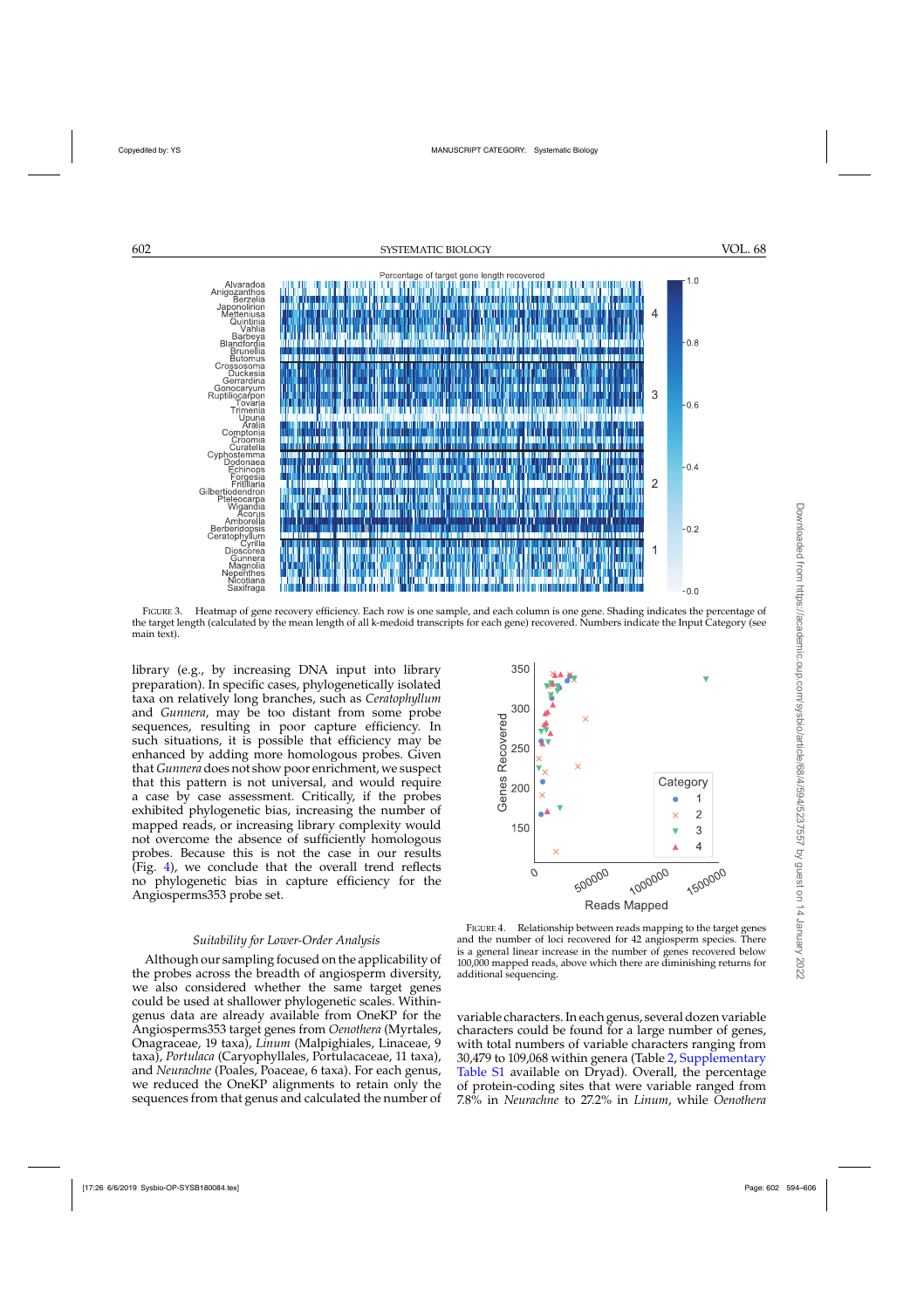<span id="page-8-0"></span>

FIGURE 3. Heatmap of gene recovery efficiency. Each row is one sample, and each column is one gene. Shading indicates the percentage of the target length (calculated by the mean length of all k-medoid transcripts for each gene) recovered. Numbers indicate the Input Category (see main text).

library (e.g., by increasing DNA input into library preparation). In specific cases, phylogenetically isolated taxa on relatively long branches, such as *Ceratophyllum* and *Gunnera*, may be too distant from some probe sequences, resulting in poor capture efficiency. In such situations, it is possible that efficiency may be enhanced by adding more homologous probes. Given that *Gunnera* does not show poor enrichment, we suspect that this pattern is not universal, and would require a case by case assessment. Critically, if the probes exhibited phylogenetic bias, increasing the number of mapped reads, or increasing library complexity would not overcome the absence of sufficiently homologous probes. Because this is not the case in our results (Fig. 4), we conclude that the overall trend reflects no phylogenetic bias in capture efficiency for the Angiosperms353 probe set.

### *Suitability for Lower-Order Analysis*

Although our sampling focused on the applicability of the probes across the breadth of angiosperm diversity, we also considered whether the same target genes could be used at shallower phylogenetic scales. Withingenus data are already available from OneKP for the Angiosperms353 target genes from *Oenothera* (Myrtales, Onagraceae, 19 taxa), *Linum* (Malpighiales, Linaceae, 9 taxa), *Portulaca* (Caryophyllales, Portulacaceae, 11 taxa), and *Neurachne* (Poales, Poaceae, 6 taxa). For each genus, we reduced the OneKP alignments to retain only the sequences from that genus and calculated the number of



FIGURE 4. Relationship between reads mapping to the target genes and the number of loci recovered for 42 angiosperm species. There is a general linear increase in the number of genes recovered below 100,000 mapped reads, above which there are diminishing returns for additional sequencing.

variable characters. In each genus, several dozen variable characters could be found for a large number of genes, with total numbers of variable characters ranging from 30,479 to 109,068 within genera (Table [2,](#page-9-0) [Supplementary](https://academic.oup.com/sysbio/article-lookup/doi/10.1093/sysbio/syy086#supplementary-data) [Table S1](https://academic.oup.com/sysbio/article-lookup/doi/10.1093/sysbio/syy086#supplementary-data) available on Dryad). Overall, the percentage of protein-coding sites that were variable ranged from 7.8% in *Neurachne* to 27.2% in *Linum*, while *Oenothera*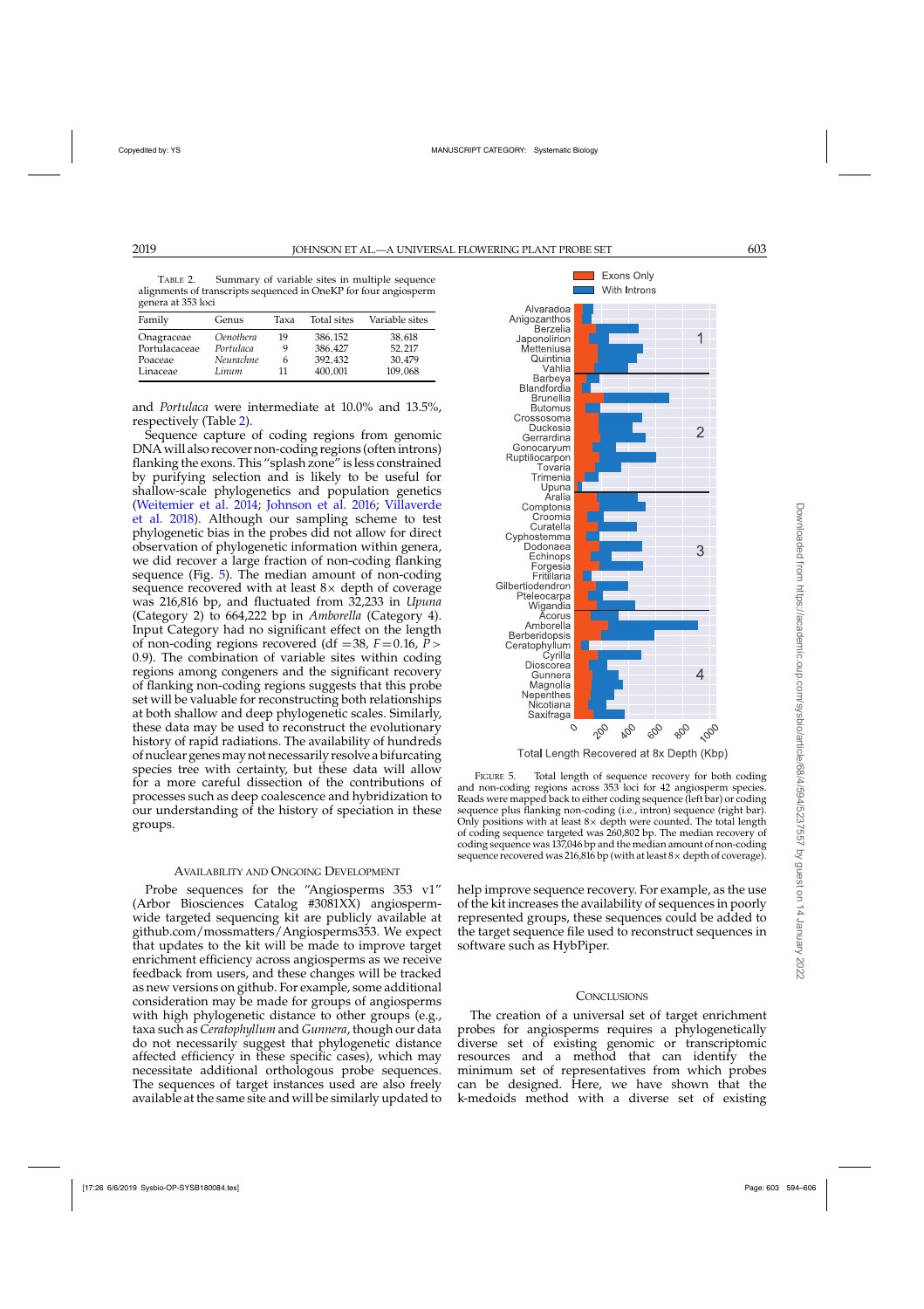<span id="page-9-0"></span>TABLE 2. Summary of variable sites in multiple sequence alignments of transcripts sequenced in OneKP for four angiosperm genera at 353 loci

| Family        | Genus            | Taxa | Total sites | Variable sites |
|---------------|------------------|------|-------------|----------------|
| Onagraceae    | <i>Oenothera</i> | 19   | 386,152     | 38.618         |
| Portulacaceae | Portulaca        |      | 386.427     | 52.217         |
| Poaceae       | Neurachne        | 6    | 392.432     | 30.479         |
| Linaceae      | Linum            | 11   | 400,001     | 109,068        |

and *Portulaca* were intermediate at 10.0% and 13.5%, respectively (Table 2).

Sequence capture of coding regions from genomic DNA will also recover non-coding regions (often introns) flanking the exons. This "splash zone" is less constrained by purifying selection and is likely to be useful for shallow-scale phylogenetics and population genetics [\(Weitemier et al. 2014;](#page-12-0) [Johnson et al. 2016](#page-11-0)[;](#page-12-0) Villaverde et al. [2018](#page-12-0)). Although our sampling scheme to test phylogenetic bias in the probes did not allow for direct observation of phylogenetic information within genera, we did recover a large fraction of non-coding flanking sequence (Fig. 5). The median amount of non-coding sequence recovered with at least  $8\times$  depth of coverage was 216,816 bp, and fluctuated from 32,233 in *Upuna* (Category 2) to 664,222 bp in *Amborella* (Category 4). Input Category had no significant effect on the length of non-coding regions recovered (df =38,  $F = 0.16$ ,  $\bar{P}$  > 0.9). The combination of variable sites within coding regions among congeners and the significant recovery of flanking non-coding regions suggests that this probe set will be valuable for reconstructing both relationships at both shallow and deep phylogenetic scales. Similarly, these data may be used to reconstruct the evolutionary history of rapid radiations. The availability of hundreds of nuclear genesmay not necessarily resolve a bifurcating species tree with certainty, but these data will allow for a more careful dissection of the contributions of processes such as deep coalescence and hybridization to our understanding of the history of speciation in these groups.

### AVAILABILITY AND ONGOING DEVELOPMENT

Probe sequences for the "Angiosperms 353 v1" (Arbor Biosciences Catalog #3081XX) angiospermwide targeted sequencing kit are publicly available at github.com/mossmatters/Angiosperms353. We expect that updates to the kit will be made to improve target enrichment efficiency across angiosperms as we receive feedback from users, and these changes will be tracked as new versions on github. For example, some additional consideration may be made for groups of angiosperms with high phylogenetic distance to other groups (e.g., taxa such as *Ceratophyllum* and *Gunnera*, though our data do not necessarily suggest that phylogenetic distance affected efficiency in these specific cases), which may necessitate additional orthologous probe sequences. The sequences of target instances used are also freely available at the same site and will be similarly updated to



Total Length Recovered at 8x Depth (Kbp)

FIGURE 5. Total length of sequence recovery for both coding and non-coding regions across 353 loci for 42 angiosperm species. Reads were mapped back to either coding sequence (left bar) or coding sequence plus flanking non-coding (i.e., intron) sequence (right bar). Only positions with at least  $8 \times$  depth were counted. The total length of coding sequence targeted was 260,802 bp. The median recovery of coding sequence was 137,046 bp and the median amount of non-coding sequence recovered was 216,816 bp (with at least  $8 \times$  depth of coverage).

help improve sequence recovery. For example, as the use of the kit increases the availability of sequences in poorly represented groups, these sequences could be added to the target sequence file used to reconstruct sequences in software such as HybPiper.

### **CONCLUSIONS**

The creation of a universal set of target enrichment probes for angiosperms requires a phylogenetically diverse set of existing genomic or transcriptomic resources and a method that can identify the minimum set of representatives from which probes can be designed. Here, we have shown that the k-medoids method with a diverse set of existing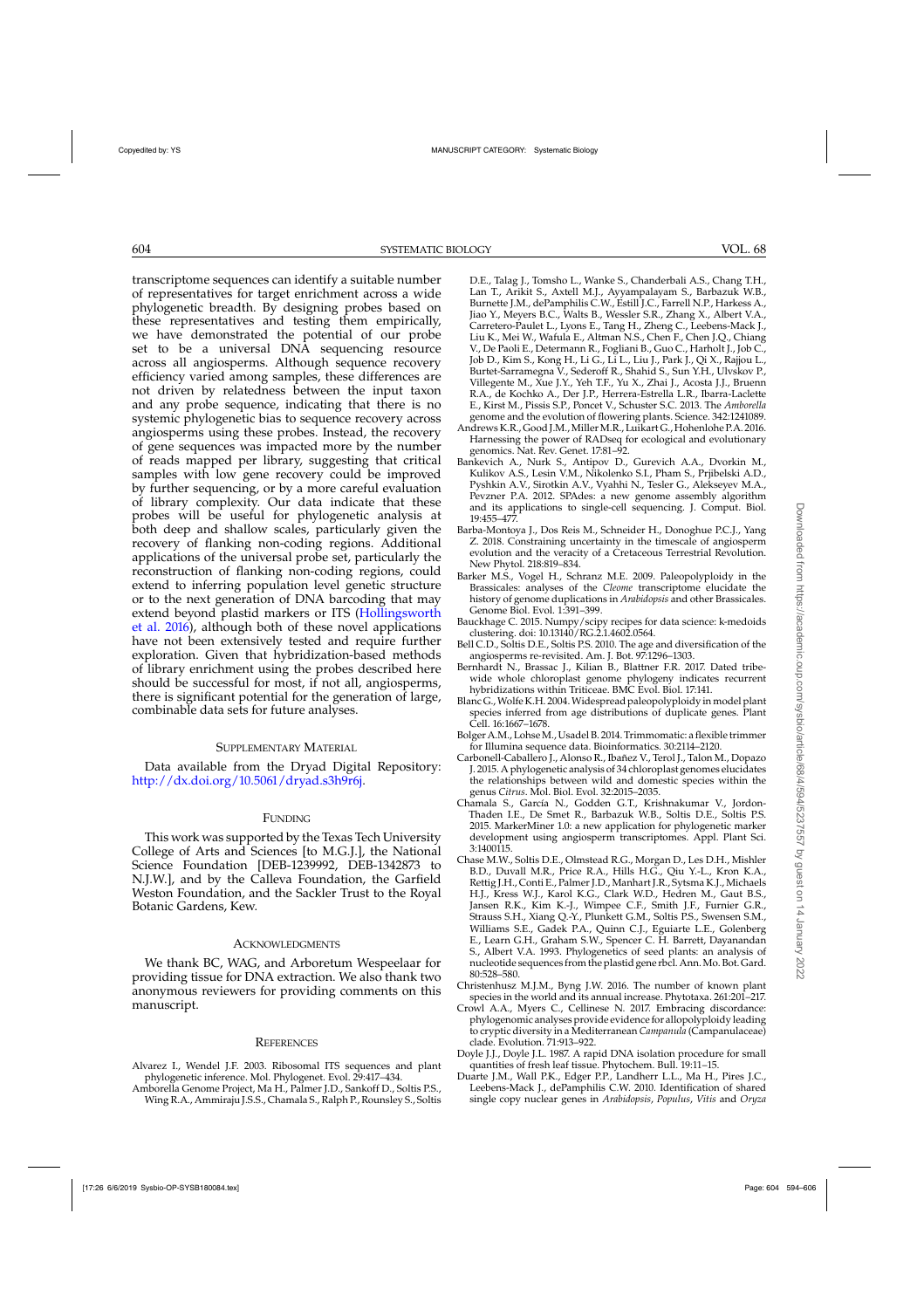<span id="page-10-0"></span>transcriptome sequences can identify a suitable number of representatives for target enrichment across a wide phylogenetic breadth. By designing probes based on these representatives and testing them empirically, we have demonstrated the potential of our probe set to be a universal DNA sequencing resource across all angiosperms. Although sequence recovery efficiency varied among samples, these differences are not driven by relatedness between the input taxon and any probe sequence, indicating that there is no systemic phylogenetic bias to sequence recovery across angiosperms using these probes. Instead, the recovery of gene sequences was impacted more by the number of reads mapped per library, suggesting that critical samples with low gene recovery could be improved by further sequencing, or by a more careful evaluation of library complexity. Our data indicate that these probes will be useful for phylogenetic analysis at both deep and shallow scales, particularly given the recovery of flanking non-coding regions. Additional applications of the universal probe set, particularly the reconstruction of flanking non-coding regions, could extend to inferring population level genetic structure or to the next generation of DNA barcoding that may exte[nd beyond plastid markers or ITS \(](#page-11-0)Hollingsworth et al. [2016\)](#page-11-0), although both of these novel applications have not been extensively tested and require further exploration. Given that hybridization-based methods of library enrichment using the probes described here should be successful for most, if not all, angiosperms, there is significant potential for the generation of large, combinable data sets for future analyses.

# SUPPLEMENTARY MATERIAL

Data available from the Dryad Digital Repository: [http://dx.doi.org/10.5061/dryad.s3h9r6j.](http://dx.doi.org/10.5061/dryad.s3h9r6j)

# **FUNDING**

This work was supported by the Texas Tech University College of Arts and Sciences [to M.G.J.], the National Science Foundation [DEB-1239992, DEB-1342873 to N.J.W.], and by the Calleva Foundation, the Garfield Weston Foundation, and the Sackler Trust to the Royal Botanic Gardens, Kew.

### ACKNOWLEDGMENTS

We thank BC, WAG, and Arboretum Wespeelaar for providing tissue for DNA extraction. We also thank two anonymous reviewers for providing comments on this manuscript.

#### **REFERENCES**

- Alvarez I., Wendel J.F. 2003. Ribosomal ITS sequences and plant phylogenetic inference. Mol. Phylogenet. Evol. 29:417–434.
- Amborella Genome Project, Ma H., Palmer J.D., Sankoff D., Soltis P.S., Wing R.A., Ammiraju J.S.S., Chamala S., Ralph P., Rounsley S., Soltis

D.E., Talag J., Tomsho L., Wanke S., Chanderbali A.S., Chang T.H., Lan T., Arikit S., Axtell M.J., Ayyampalayam S., Barbazuk W.B., Burnette J.M., dePamphilis C.W., Estill J.C., Farrell N.P., Harkess A., Jiao Y., Meyers B.C., Walts B., Wessler S.R., Zhang X., Albert V.A., Carretero-Paulet L., Lyons E., Tang H., Zheng C., Leebens-Mack J., Liu K., Mei W., Wafula E., Altman N.S., Chen F., Chen J.Q., Chiang V., De Paoli E., Determann R., Fogliani B., Guo C., Harholt J., Job C., Job D., Kim S., Kong H., Li G., Li L., Liu J., Park J., Qi X., Rajjou L., Burtet-Sarramegna V., Sederoff R., Shahid S., Sun Y.H., Ulvskov P., Villegente M., Xue J.Y., Yeh T.F., Yu X., Zhai J., Acosta J.J., Bruenn R.A., de Kochko A., Der J.P., Herrera-Estrella L.R., Ibarra-Laclette E., Kirst M., Pissis S.P., Poncet V., Schuster S.C. 2013. The *Amborella* genome and the evolution of flowering plants. Science. 342:1241089.

- Andrews K.R., Good J.M., Miller M.R., Luikart G., Hohenlohe P.A. 2016. Harnessing the power of RADseq for ecological and evolutionary genomics. Nat. Rev. Genet. 17:81–92.
- Bankevich A., Nurk S., Antipov D., Gurevich A.A., Dvorkin M., Kulikov A.S., Lesin V.M., Nikolenko S.I., Pham S., Prjibelski A.D., Pyshkin A.V., Sirotkin A.V., Vyahhi N., Tesler G., Alekseyev M.A., Pevzner P.A. 2012. SPAdes: a new genome assembly algorithm and its applications to single-cell sequencing. J. Comput. Biol. 19:455–477.
- Barba-Montoya J., Dos Reis M., Schneider H., Donoghue P.C.J., Yang Z. 2018. Constraining uncertainty in the timescale of angiosperm evolution and the veracity of a Cretaceous Terrestrial Revolution. New Phytol. 218:819–834.
- Barker M.S., Vogel H., Schranz M.E. 2009. Paleopolyploidy in the Brassicales: analyses of the *Cleome* transcriptome elucidate the history of genome duplications in *Arabidopsis* and other Brassicales. Genome Biol. Evol. 1:391–399.
- Bauckhage C. 2015. Numpy/scipy recipes for data science: k-medoids clustering. doi: 10.13140/RG.2.1.4602.0564.
- Bell C.D., Soltis D.E., Soltis P.S. 2010. The age and diversification of the angiosperms re-revisited. Am. J. Bot. 97:1296–1303.
- Bernhardt N., Brassac J., Kilian B., Blattner F.R. 2017. Dated tribewide whole chloroplast genome phylogeny indicates recurrent hybridizations within Triticeae. BMC Evol. Biol. 17:141.
- Blanc G.,Wolfe K.H. 2004.Widespread paleopolyploidy in model plant species inferred from age distributions of duplicate genes. Plant Cell. 16:1667–1678.
- Bolger A.M., LohseM., Usadel B. 2014. Trimmomatic: a flexible trimmer for Illumina sequence data. Bioinformatics. 30:2114–2120.
- Carbonell-Caballero J., Alonso R., Ibañez V., Terol J., Talon M., Dopazo J. 2015. A phylogenetic analysis of 34 chloroplast genomes elucidates the relationships between wild and domestic species within the genus *Citrus*. Mol. Biol. Evol. 32:2015–2035.
- Chamala S., García N., Godden G.T., Krishnakumar V., Jordon-Thaden I.E., De Smet R., Barbazuk W.B., Soltis D.E., Soltis P.S. 2015. MarkerMiner 1.0: a new application for phylogenetic marker development using angiosperm transcriptomes. Appl. Plant Sci. 3:1400115.
- Chase M.W., Soltis D.E., Olmstead R.G., Morgan D., Les D.H., Mishler B.D., Duvall M.R., Price R.A., Hills H.G., Qiu Y.-L., Kron K.A., Rettig J.H., Conti E., Palmer J.D., Manhart J.R., Sytsma K.J., Michaels H.J., Kress W.J., Karol K.G., Clark W.D., Hedren M., Gaut B.S., Jansen R.K., Kim K.-J., Wimpee C.F., Smith J.F., Furnier G.R., Strauss S.H., Xiang Q.-Y., Plunkett G.M., Soltis P.S., Swensen S.M., Williams S.E., Gadek P.A., Quinn C.J., Eguiarte L.E., Golenberg E., Learn G.H., Graham S.W., Spencer C. H. Barrett, Dayanandan S., Albert V.A. 1993. Phylogenetics of seed plants: an analysis of nucleotide sequences from the plastid gene rbcl. Ann.Mo. Bot. Gard. 80:528–580.
- Christenhusz M.J.M., Byng J.W. 2016. The number of known plant species in the world and its annual increase. Phytotaxa. 261:201–217.
- Crowl A.A., Myers C., Cellinese N. 2017. Embracing discordance: phylogenomic analyses provide evidence for allopolyploidy leading to cryptic diversity in a Mediterranean *Campanula* (Campanulaceae) clade. Evolution. 71:913–922.
- Doyle J.J., Doyle J.L. 1987. A rapid DNA isolation procedure for small quantities of fresh leaf tissue. Phytochem. Bull. 19:11–15.
- Duarte J.M., Wall P.K., Edger P.P., Landherr L.L., Ma H., Pires J.C., Leebens-Mack J., dePamphilis C.W. 2010. Identification of shared single copy nuclear genes in *Arabidopsis*, *Populus*, *Vitis* and *Oryza*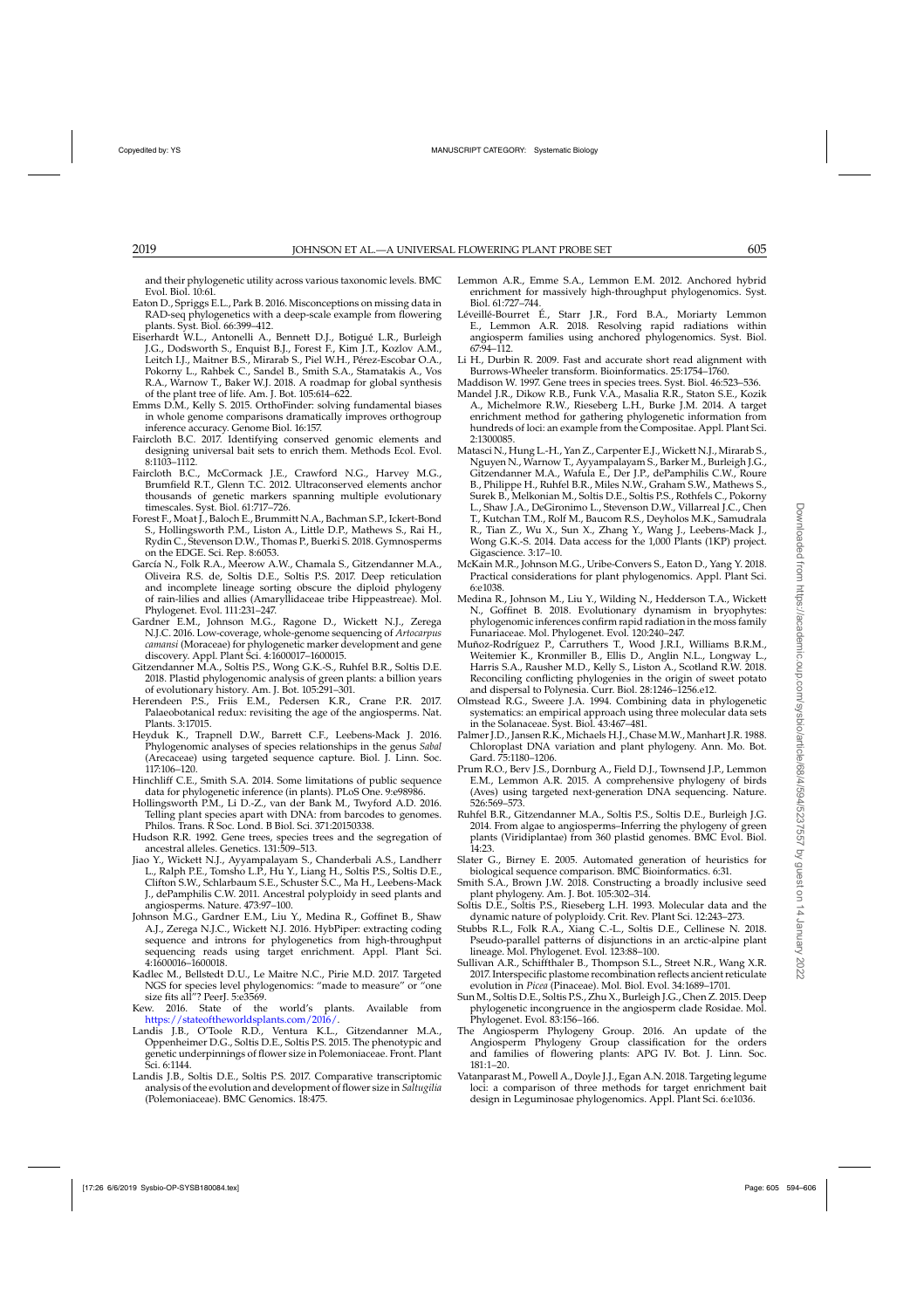<span id="page-11-0"></span>and their phylogenetic utility across various taxonomic levels. BMC Evol. Biol. 10:61.

- Eaton D., Spriggs E.L., Park B. 2016. Misconceptions on missing data in RAD-seq phylogenetics with a deep-scale example from flowering plants. Syst. Biol. 66:399–412.
- Eiserhardt W.L., Antonelli A., Bennett D.J., Botigué L.R., Burleigh J.G., Dodsworth S., Enquist B.J., Forest F., Kim J.T., Kozlov A.M., Leitch I.J., Maitner B.S., Mirarab S., Piel W.H., Pérez-Escobar O.A., Pokorny L., Rahbek C., Sandel B., Smith S.A., Stamatakis A., Vos R.A., Warnow T., Baker W.J. 2018. A roadmap for global synthesis of the plant tree of life. Am. J. Bot. 105:614–622.
- Emms D.M., Kelly S. 2015. OrthoFinder: solving fundamental biases in whole genome comparisons dramatically improves orthogroup inference accuracy. Genome Biol. 16:157.
- Faircloth B.C. 2017. Identifying conserved genomic elements and designing universal bait sets to enrich them. Methods Ecol. Evol. 8:1103–1112.
- Faircloth B.C., McCormack J.E., Crawford N.G., Harvey M.G., Brumfield R.T., Glenn T.C. 2012. Ultraconserved elements anchor thousands of genetic markers spanning multiple evolutionary timescales. Syst. Biol. 61:717–726.
- Forest F., Moat J., Baloch E., Brummitt N.A., Bachman S.P., Ickert-Bond S., Hollingsworth P.M., Liston A., Little D.P., Mathews S., Rai H., Rydin C., Stevenson D.W., Thomas P., Buerki S. 2018. Gymnosperms on the EDGE. Sci. Rep. 8:6053.
- García N., Folk R.A., Meerow A.W., Chamala S., Gitzendanner M.A., Oliveira R.S. de, Soltis D.E., Soltis P.S. 2017. Deep reticulation and incomplete lineage sorting obscure the diploid phylogeny of rain-lilies and allies (Amaryllidaceae tribe Hippeastreae). Mol. Phylogenet. Evol. 111:231–247.
- Gardner E.M., Johnson M.G., Ragone D., Wickett N.J., Zerega N.J.C. 2016. Low-coverage, whole-genome sequencing of *Artocarpus camansi* (Moraceae) for phylogenetic marker development and gene discovery. Appl. Plant Sci. 4:1600017–1600015.
- Gitzendanner M.A., Soltis P.S., Wong G.K.-S., Ruhfel B.R., Soltis D.E. 2018. Plastid phylogenomic analysis of green plants: a billion years of evolutionary history. Am. J. Bot. 105:291–301.
- Herendeen P.S., Friis E.M., Pedersen K.R., Crane P.R. 2017. Palaeobotanical redux: revisiting the age of the angiosperms. Nat. Plants. 3:17015.
- Heyduk K., Trapnell D.W., Barrett C.F., Leebens-Mack J. 2016. Phylogenomic analyses of species relationships in the genus *Sabal* (Arecaceae) using targeted sequence capture. Biol. J. Linn. Soc. 117:106–120.
- Hinchliff C.E., Smith S.A. 2014. Some limitations of public sequence data for phylogenetic inference (in plants). PLoS One. 9:e98986.
- Hollingsworth P.M., Li D.-Z., van der Bank M., Twyford A.D. 2016. Telling plant species apart with DNA: from barcodes to genomes. Philos. Trans. R Soc. Lond. B Biol. Sci. 371:20150338.
- Hudson R.R. 1992. Gene trees, species trees and the segregation of ancestral alleles. Genetics. 131:509–513.
- Jiao Y., Wickett N.J., Ayyampalayam S., Chanderbali A.S., Landherr L., Ralph P.E., Tomsho L.P., Hu Y., Liang H., Soltis P.S., Soltis D.E., Clifton S.W., Schlarbaum S.E., Schuster S.C., Ma H., Leebens-Mack J., dePamphilis C.W. 2011. Ancestral polyploidy in seed plants and angiosperms. Nature. 473:97–100.
- Johnson M.G., Gardner E.M., Liu Y., Medina R., Goffinet B., Shaw A.J., Zerega N.J.C., Wickett N.J. 2016. HybPiper: extracting coding sequence and introns for phylogenetics from high-throughput sequencing reads using target enrichment. Appl. Plant Sci. 4:1600016–1600018.
- Kadlec M., Bellstedt D.U., Le Maitre N.C., Pirie M.D. 2017. Targeted NGS for species level phylogenomics: "made to measure" or "one size fits all"? PeerJ. 5:e3569.
- Kew. 2016. State of the world's plants. Available from [https://stateoftheworldsplants.com/2016/.](https://stateoftheworldsplants.com/2016/)
- Landis J.B., O'Toole R.D., Ventura K.L., Gitzendanner M.A., Oppenheimer D.G., Soltis D.E., Soltis P.S. 2015. The phenotypic and genetic underpinnings of flower size in Polemoniaceae. Front. Plant Sci. 6:1144.
- Landis J.B., Soltis D.E., Soltis P.S. 2017. Comparative transcriptomic analysis of the evolution and development of flower size in *Saltugilia* (Polemoniaceae). BMC Genomics. 18:475.
- Lemmon A.R., Emme S.A., Lemmon E.M. 2012. Anchored hybrid enrichment for massively high-throughput phylogenomics. Syst. Biol. 61:727–744.
- Léveillé-Bourret É., Starr J.R., Ford B.A., Moriarty Lemmon E., Lemmon A.R. 2018. Resolving rapid radiations within angiosperm families using anchored phylogenomics. Syst. Biol. 67:94–112.
- Li H., Durbin R. 2009. Fast and accurate short read alignment with Burrows-Wheeler transform. Bioinformatics. 25:1754–1760.
- Maddison W. 1997. Gene trees in species trees. Syst. Biol. 46:523–536.
- Mandel J.R., Dikow R.B., Funk V.A., Masalia R.R., Staton S.E., Kozik A., Michelmore R.W., Rieseberg L.H., Burke J.M. 2014. A target enrichment method for gathering phylogenetic information from hundreds of loci: an example from the Compositae. Appl. Plant Sci. 2:1300085.
- Matasci N., Hung L.-H., Yan Z., Carpenter E.J., Wickett N.J., Mirarab S., Nguyen N., Warnow T., Ayyampalayam S., Barker M., Burleigh J.G., Gitzendanner M.A., Wafula E., Der J.P., dePamphilis C.W., Roure B., Philippe H., Ruhfel B.R., Miles N.W., Graham S.W., Mathews S., Surek B., Melkonian M., Soltis D.E., Soltis P.S., Rothfels C., Pokorny L., Shaw J.A., DeGironimo L., Stevenson D.W., Villarreal J.C., Chen T., Kutchan T.M., Rolf M., Baucom R.S., Deyholos M.K., Samudrala R., Tian Z., Wu X., Sun X., Zhang Y., Wang J., Leebens-Mack J., Wong G.K.-S. 2014. Data access for the 1,000 Plants (1KP) project. Gigascience. 3:17–10.
- McKain M.R., Johnson M.G., Uribe-Convers S., Eaton D., Yang Y. 2018. Practical considerations for plant phylogenomics. Appl. Plant Sci. 6:e1038.
- Medina R., Johnson M., Liu Y., Wilding N., Hedderson T.A., Wickett N., Goffinet B. 2018. Evolutionary dynamism in bryophytes: phylogenomic inferences confirm rapid radiation in the moss family Funariaceae. Mol. Phylogenet. Evol. 120:240–247.
- Muñoz-Rodríguez P., Carruthers T., Wood J.R.I., Williams B.R.M., Weitemier K., Kronmiller B., Ellis D., Anglin N.L., Longway L., Harris S.A., Rausher M.D., Kelly S., Liston A., Scotland R.W. 2018. Reconciling conflicting phylogenies in the origin of sweet potato and dispersal to Polynesia. Curr. Biol. 28:1246–1256.e12.
- Olmstead R.G., Sweere J.A. 1994. Combining data in phylogenetic systematics: an empirical approach using three molecular data sets in the Solanaceae. Syst. Biol. 43:467–481.
- Palmer J.D., Jansen R.K., Michaels H.J., Chase M.W., Manhart J.R. 1988. Chloroplast DNA variation and plant phylogeny. Ann. Mo. Bot. Gard. 75:1180–1206.
- Prum R.O., Berv J.S., Dornburg A., Field D.J., Townsend J.P., Lemmon E.M., Lemmon A.R. 2015. A comprehensive phylogeny of birds (Aves) using targeted next-generation DNA sequencing. Nature. 526:569–573.
- Ruhfel B.R., Gitzendanner M.A., Soltis P.S., Soltis D.E., Burleigh J.G. 2014. From algae to angiosperms–Inferring the phylogeny of green plants (Viridiplantae) from 360 plastid genomes. BMC Evol. Biol. 14:23.
- Slater G., Birney E. 2005. Automated generation of heuristics for biological sequence comparison. BMC Bioinformatics. 6:31.
- Smith S.A., Brown J.W. 2018. Constructing a broadly inclusive seed plant phylogeny. Am. J. Bot. 105:302–314.
- Soltis D.E., Soltis P.S., Rieseberg L.H. 1993. Molecular data and the dynamic nature of polyploidy. Crit. Rev. Plant Sci. 12:243–273.
- Stubbs R.L., Folk R.A., Xiang C.-L., Soltis D.E., Cellinese N. 2018. Pseudo-parallel patterns of disjunctions in an arctic-alpine plant lineage. Mol. Phylogenet. Evol. 123:88–100.
- Sullivan A.R., Schiffthaler B., Thompson S.L., Street N.R., Wang X.R. 2017. Interspecific plastome recombination reflects ancient reticulate evolution in *Picea* (Pinaceae). Mol. Biol. Evol. 34:1689–1701.
- Sun M., Soltis D.E., Soltis P.S., Zhu X., Burleigh J.G., Chen Z. 2015. Deep phylogenetic incongruence in the angiosperm clade Rosidae. Mol. Phylogenet. Evol. 83:156–166.
- The Angiosperm Phylogeny Group. 2016. An update of the Angiosperm Phylogeny Group classification for the orders and families of flowering plants: APG IV. Bot. J. Linn. Soc. 181:1–20.
- Vatanparast M., Powell A., Doyle J.J., Egan A.N. 2018. Targeting legume loci: a comparison of three methods for target enrichment bait design in Leguminosae phylogenomics. Appl. Plant Sci. 6:e1036.